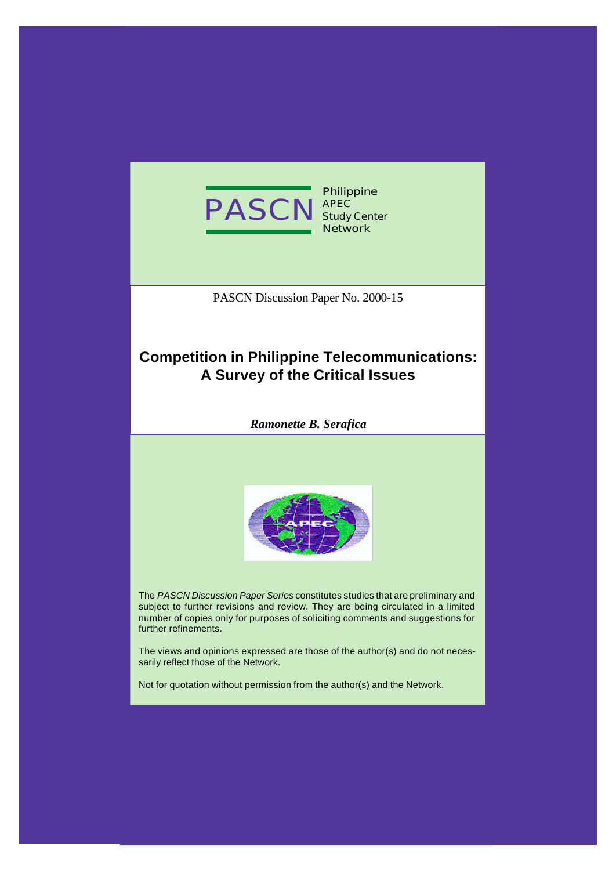

**Philippine APEC Study Center Network**

PASCN Discussion Paper No. 2000-15

# **Competition in Philippine Telecommunications: A Survey of the Critical Issues**

*Ramonette B. Serafica*



The *PASCN Discussion Paper Series* constitutes studies that are preliminary and subject to further revisions and review. They are being circulated in a limited number of copies only for purposes of soliciting comments and suggestions for further refinements.

The views and opinions expressed are those of the author(s) and do not necessarily reflect those of the Network.

Not for quotation without permission from the author(s) and the Network.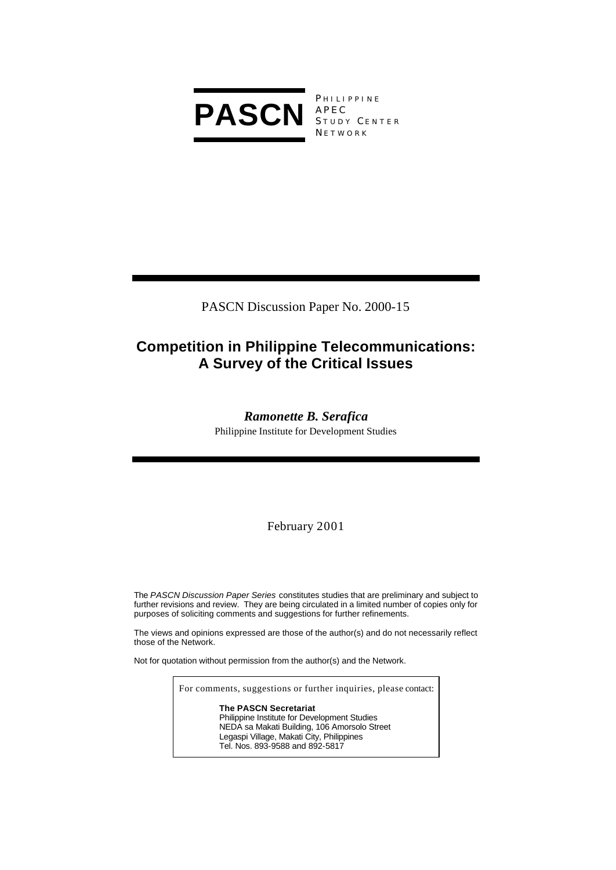

PHILIPPINE  $\begin{array}{c} \begin{array}{c} \ldots \vdots \end{array} \\ \begin{array}{c} \mathsf{A} \mathsf{P} \mathsf{E} \mathsf{C} \\ \mathsf{C} \end{array} \end{array}$ STUDY CENTER **NETWORK** 

PASCN Discussion Paper No. 2000-15

# **Competition in Philippine Telecommunications: A Survey of the Critical Issues**

## *Ramonette B. Serafica*

Philippine Institute for Development Studies

February 2001

The *PASCN Discussion Paper Series* constitutes studies that are preliminary and subject to further revisions and review. They are being circulated in a limited number of copies only for purposes of soliciting comments and suggestions for further refinements.

The views and opinions expressed are those of the author(s) and do not necessarily reflect those of the Network.

Not for quotation without permission from the author(s) and the Network.

For comments, suggestions or further inquiries, please contact:

**The PASCN Secretariat** Philippine Institute for Development Studies NEDA sa Makati Building, 106 Amorsolo Street Legaspi Village, Makati City, Philippines Tel. Nos. 893-9588 and 892-5817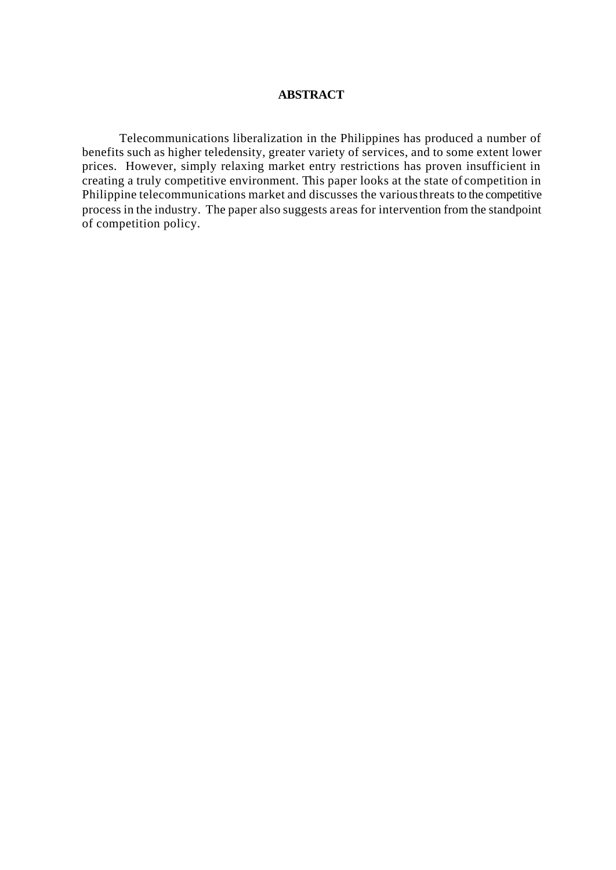## **ABSTRACT**

Telecommunications liberalization in the Philippines has produced a number of benefits such as higher teledensity, greater variety of services, and to some extent lower prices. However, simply relaxing market entry restrictions has proven insufficient in creating a truly competitive environment. This paper looks at the state of competition in Philippine telecommunications market and discusses the various threats to the competitive process in the industry. The paper also suggests areas for intervention from the standpoint of competition policy.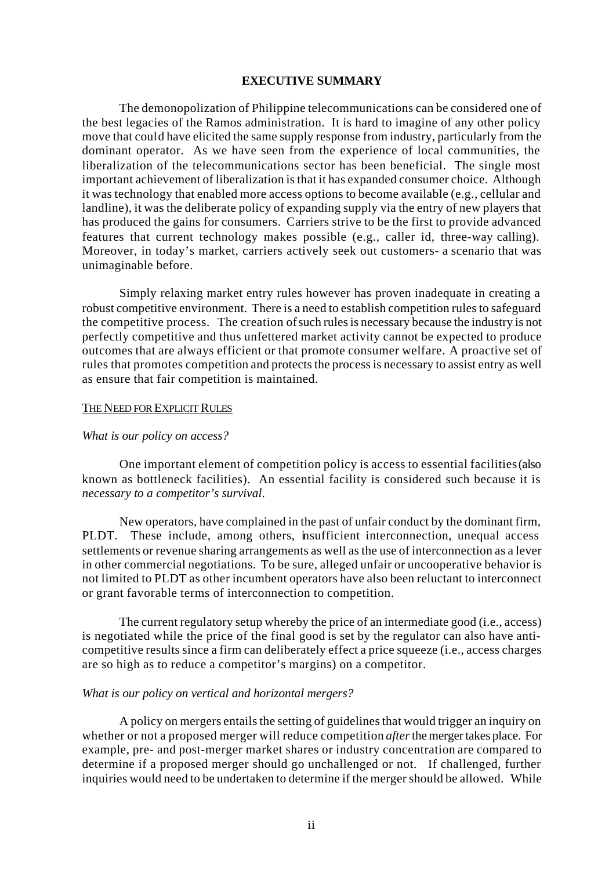#### **EXECUTIVE SUMMARY**

The demonopolization of Philippine telecommunications can be considered one of the best legacies of the Ramos administration. It is hard to imagine of any other policy move that could have elicited the same supply response from industry, particularly from the dominant operator. As we have seen from the experience of local communities, the liberalization of the telecommunications sector has been beneficial. The single most important achievement of liberalization is that it has expanded consumer choice. Although it was technology that enabled more access options to become available (e.g., cellular and landline), it was the deliberate policy of expanding supply via the entry of new players that has produced the gains for consumers. Carriers strive to be the first to provide advanced features that current technology makes possible (e.g., caller id, three-way calling). Moreover, in today's market, carriers actively seek out customers- a scenario that was unimaginable before.

Simply relaxing market entry rules however has proven inadequate in creating a robust competitive environment. There is a need to establish competition rules to safeguard the competitive process. The creation of such rules is necessary because the industry is not perfectly competitive and thus unfettered market activity cannot be expected to produce outcomes that are always efficient or that promote consumer welfare. A proactive set of rules that promotes competition and protects the process is necessary to assist entry as well as ensure that fair competition is maintained.

## THE NEED FOR EXPLICIT RULES

#### *What is our policy on access?*

One important element of competition policy is access to essential facilities (also known as bottleneck facilities). An essential facility is considered such because it is *necessary to a competitor's survival*.

New operators, have complained in the past of unfair conduct by the dominant firm, PLDT. These include, among others, insufficient interconnection, unequal access settlements or revenue sharing arrangements as well as the use of interconnection as a lever in other commercial negotiations. To be sure, alleged unfair or uncooperative behavior is not limited to PLDT as other incumbent operators have also been reluctant to interconnect or grant favorable terms of interconnection to competition.

The current regulatory setup whereby the price of an intermediate good (i.e., access) is negotiated while the price of the final good is set by the regulator can also have anticompetitive results since a firm can deliberately effect a price squeeze (i.e., access charges are so high as to reduce a competitor's margins) on a competitor.

### *What is our policy on vertical and horizontal mergers?*

A policy on mergers entails the setting of guidelines that would trigger an inquiry on whether or not a proposed merger will reduce competition *after* the merger takes place. For example, pre- and post-merger market shares or industry concentration are compared to determine if a proposed merger should go unchallenged or not. If challenged, further inquiries would need to be undertaken to determine if the merger should be allowed. While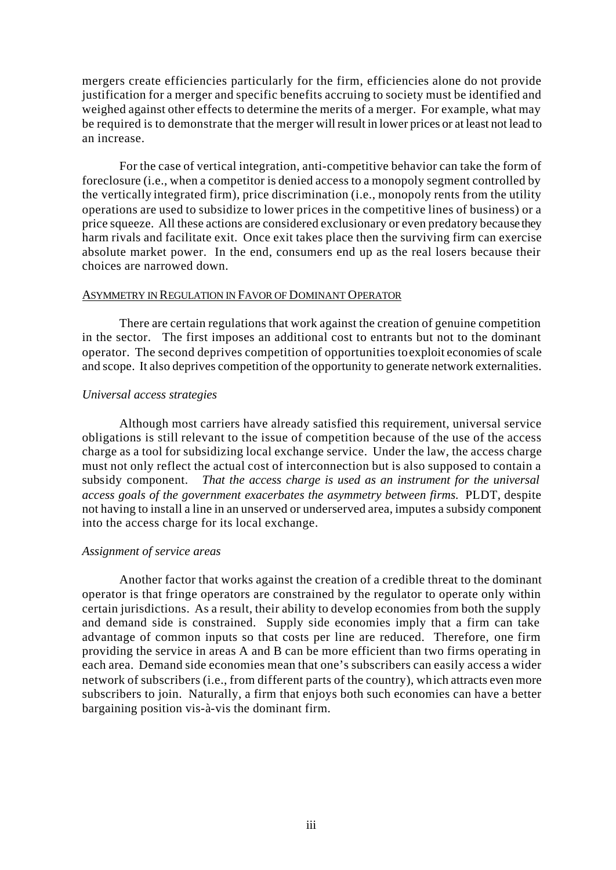mergers create efficiencies particularly for the firm, efficiencies alone do not provide justification for a merger and specific benefits accruing to society must be identified and weighed against other effects to determine the merits of a merger. For example, what may be required is to demonstrate that the merger will result in lower prices or at least not lead to an increase.

For the case of vertical integration, anti-competitive behavior can take the form of foreclosure (i.e., when a competitor is denied access to a monopoly segment controlled by the vertically integrated firm), price discrimination (i.e., monopoly rents from the utility operations are used to subsidize to lower prices in the competitive lines of business) or a price squeeze. All these actions are considered exclusionary or even predatory because they harm rivals and facilitate exit. Once exit takes place then the surviving firm can exercise absolute market power. In the end, consumers end up as the real losers because their choices are narrowed down.

## ASYMMETRY IN REGULATION IN FAVOR OF DOMINANT OPERATOR

There are certain regulations that work against the creation of genuine competition in the sector. The first imposes an additional cost to entrants but not to the dominant operator. The second deprives competition of opportunities to exploit economies of scale and scope. It also deprives competition of the opportunity to generate network externalities.

## *Universal access strategies*

Although most carriers have already satisfied this requirement, universal service obligations is still relevant to the issue of competition because of the use of the access charge as a tool for subsidizing local exchange service. Under the law, the access charge must not only reflect the actual cost of interconnection but is also supposed to contain a subsidy component. *That the access charge is used as an instrument for the universal access goals of the government exacerbates the asymmetry between firms.* PLDT, despite not having to install a line in an unserved or underserved area, imputes a subsidy component into the access charge for its local exchange.

## *Assignment of service areas*

Another factor that works against the creation of a credible threat to the dominant operator is that fringe operators are constrained by the regulator to operate only within certain jurisdictions. As a result, their ability to develop economies from both the supply and demand side is constrained. Supply side economies imply that a firm can take advantage of common inputs so that costs per line are reduced. Therefore, one firm providing the service in areas A and B can be more efficient than two firms operating in each area. Demand side economies mean that one's subscribers can easily access a wider network of subscribers (i.e., from different parts of the country), which attracts even more subscribers to join. Naturally, a firm that enjoys both such economies can have a better bargaining position vis-à-vis the dominant firm.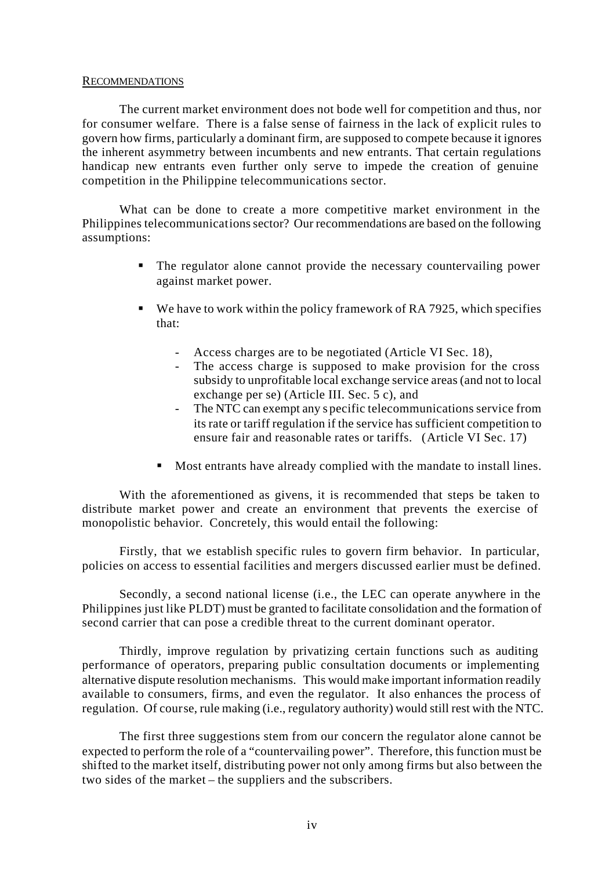## RECOMMENDATIONS

The current market environment does not bode well for competition and thus, nor for consumer welfare. There is a false sense of fairness in the lack of explicit rules to govern how firms, particularly a dominant firm, are supposed to compete because it ignores the inherent asymmetry between incumbents and new entrants. That certain regulations handicap new entrants even further only serve to impede the creation of genuine competition in the Philippine telecommunications sector.

What can be done to create a more competitive market environment in the Philippines telecommunications sector? Our recommendations are based on the following assumptions:

- ß The regulator alone cannot provide the necessary countervailing power against market power.
- $\bullet$  We have to work within the policy framework of RA 7925, which specifies that:
	- Access charges are to be negotiated (Article VI Sec. 18),
	- The access charge is supposed to make provision for the cross subsidy to unprofitable local exchange service areas (and not to local exchange per se) (Article III. Sec. 5 c), and
	- The NTC can exempt any s pecific telecommunications service from its rate or tariff regulation if the service has sufficient competition to ensure fair and reasonable rates or tariffs. (Article VI Sec. 17)
	- Most entrants have already complied with the mandate to install lines.

With the aforementioned as givens, it is recommended that steps be taken to distribute market power and create an environment that prevents the exercise of monopolistic behavior. Concretely, this would entail the following:

Firstly, that we establish specific rules to govern firm behavior. In particular, policies on access to essential facilities and mergers discussed earlier must be defined.

Secondly, a second national license (i.e., the LEC can operate anywhere in the Philippines just like PLDT) must be granted to facilitate consolidation and the formation of second carrier that can pose a credible threat to the current dominant operator.

Thirdly, improve regulation by privatizing certain functions such as auditing performance of operators, preparing public consultation documents or implementing alternative dispute resolution mechanisms. This would make important information readily available to consumers, firms, and even the regulator. It also enhances the process of regulation. Of course, rule making (i.e., regulatory authority) would still rest with the NTC.

The first three suggestions stem from our concern the regulator alone cannot be expected to perform the role of a "countervailing power". Therefore, this function must be shifted to the market itself, distributing power not only among firms but also between the two sides of the market – the suppliers and the subscribers.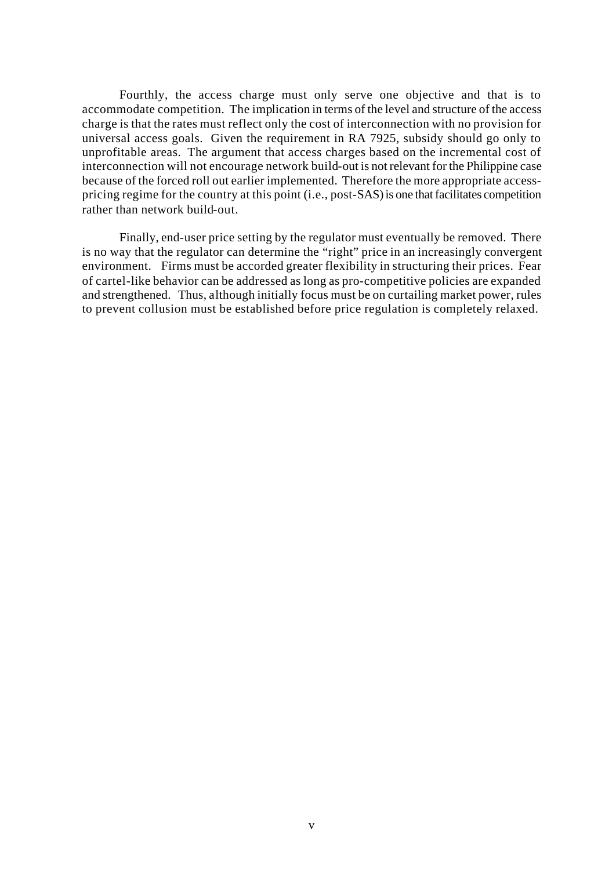Fourthly, the access charge must only serve one objective and that is to accommodate competition. The implication in terms of the level and structure of the access charge is that the rates must reflect only the cost of interconnection with no provision for universal access goals. Given the requirement in RA 7925, subsidy should go only to unprofitable areas. The argument that access charges based on the incremental cost of interconnection will not encourage network build-out is not relevant for the Philippine case because of the forced roll out earlier implemented. Therefore the more appropriate accesspricing regime for the country at this point (i.e., post-SAS) is one that facilitates competition rather than network build-out.

Finally, end-user price setting by the regulator must eventually be removed. There is no way that the regulator can determine the "right" price in an increasingly convergent environment. Firms must be accorded greater flexibility in structuring their prices. Fear of cartel-like behavior can be addressed as long as pro-competitive policies are expanded and strengthened. Thus, although initially focus must be on curtailing market power, rules to prevent collusion must be established before price regulation is completely relaxed.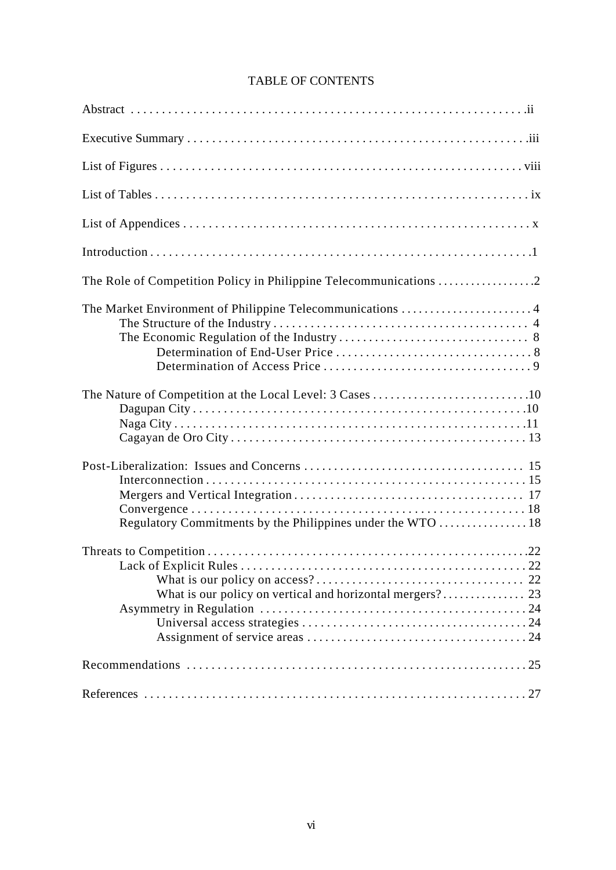| The Market Environment of Philippine Telecommunications 4 |
|-----------------------------------------------------------|
|                                                           |
|                                                           |
|                                                           |
|                                                           |
|                                                           |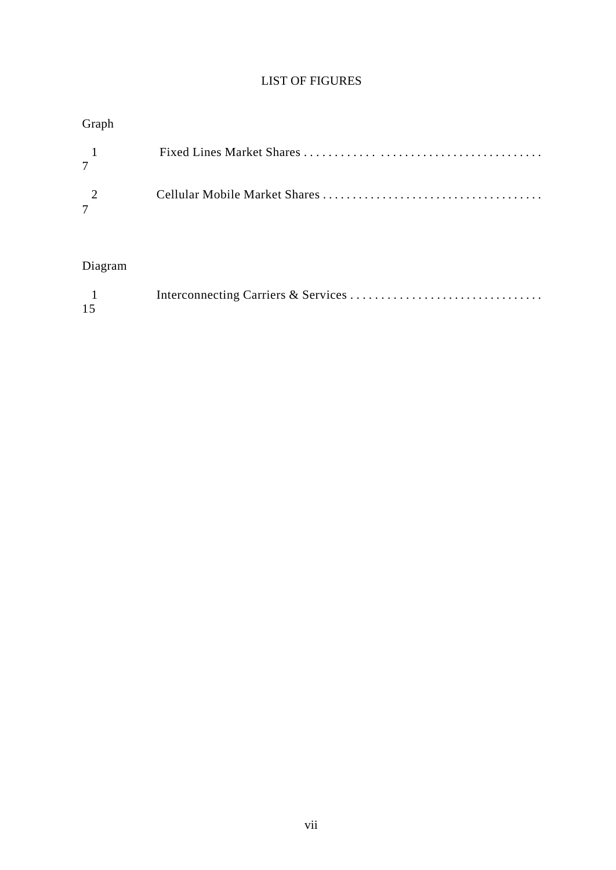## LIST OF FIGURES

# Graph

| $\sim$ 1 and $\sim$ |  |
|---------------------|--|
| $\gamma$            |  |

## Diagram

| 15 |  |
|----|--|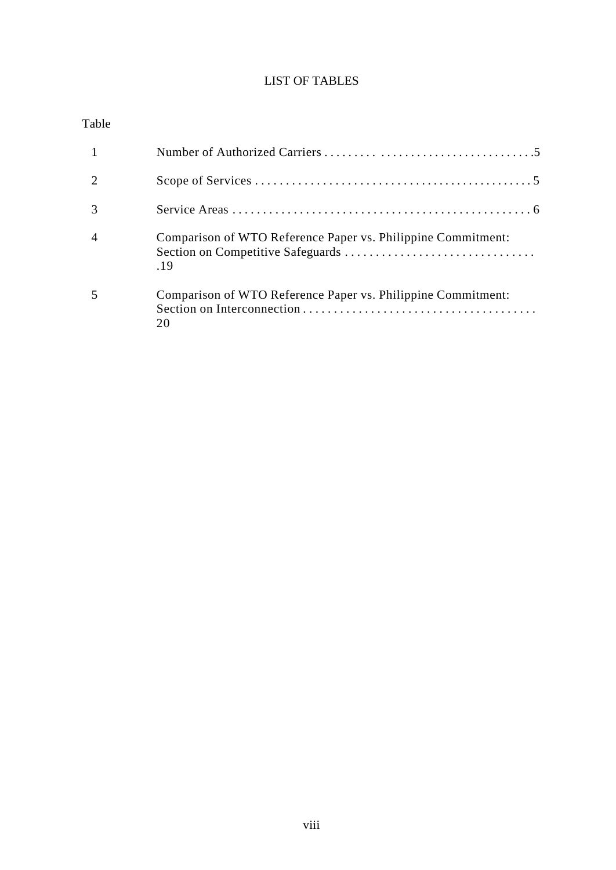## LIST OF TABLES

## Table

| Comparison of WTO Reference Paper vs. Philippine Commitment:<br>19 |
|--------------------------------------------------------------------|
| Comparison of WTO Reference Paper vs. Philippine Commitment:       |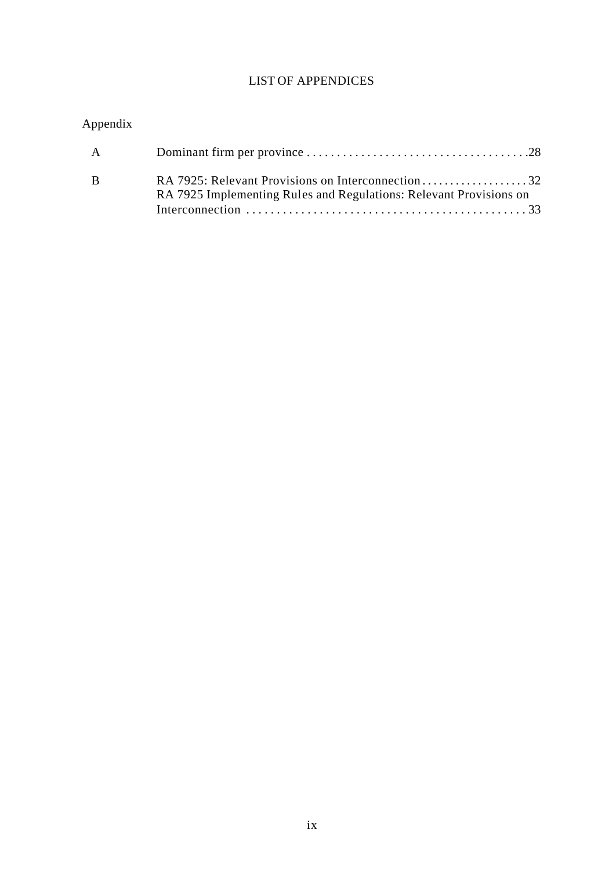## LIST OF APPENDICES

# Appendix

| A |                                                                    |
|---|--------------------------------------------------------------------|
|   | RA 7925 Implementing Rules and Regulations: Relevant Provisions on |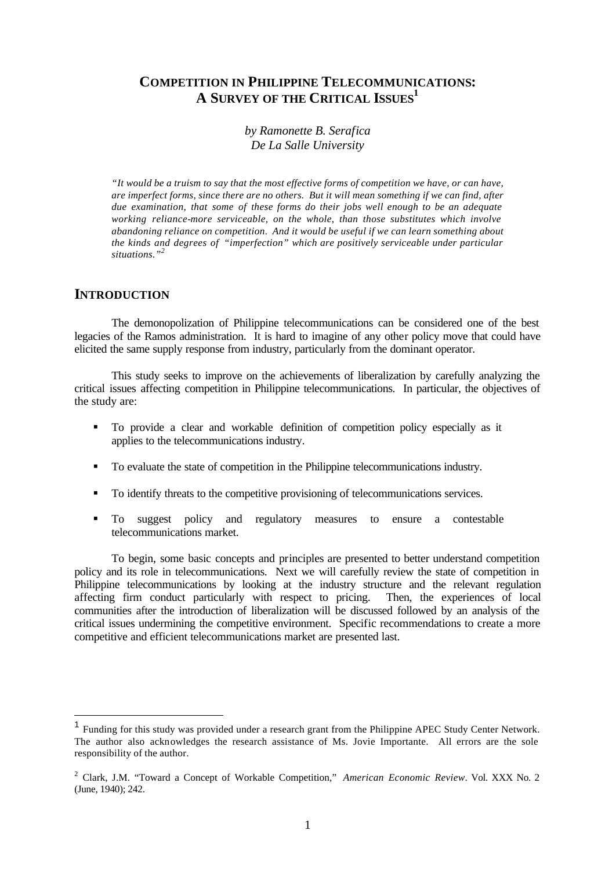## **COMPETITION IN PHILIPPINE TELECOMMUNICATIONS: A SURVEY OF THE CRITICAL ISSUES<sup>1</sup>**

*by Ramonette B. Serafica De La Salle University*

*"It would be a truism to say that the most effective forms of competition we have, or can have, are imperfect forms, since there are no others. But it will mean something if we can find, after due examination, that some of these forms do their jobs well enough to be an adequate working reliance-more serviceable, on the whole, than those substitutes which involve abandoning reliance on competition. And it would be useful if we can learn something about the kinds and degrees of "imperfection" which are positively serviceable under particular situations."<sup>2</sup>*

## **INTRODUCTION**

l

The demonopolization of Philippine telecommunications can be considered one of the best legacies of the Ramos administration. It is hard to imagine of any other policy move that could have elicited the same supply response from industry, particularly from the dominant operator.

This study seeks to improve on the achievements of liberalization by carefully analyzing the critical issues affecting competition in Philippine telecommunications. In particular, the objectives of the study are:

- ß To provide a clear and workable definition of competition policy especially as it applies to the telecommunications industry.
- ß To evaluate the state of competition in the Philippine telecommunications industry.
- To identify threats to the competitive provisioning of telecommunications services.
- ß To suggest policy and regulatory measures to ensure a contestable telecommunications market.

To begin, some basic concepts and principles are presented to better understand competition policy and its role in telecommunications. Next we will carefully review the state of competition in Philippine telecommunications by looking at the industry structure and the relevant regulation affecting firm conduct particularly with respect to pricing. Then, the experiences of local affecting firm conduct particularly with respect to pricing. communities after the introduction of liberalization will be discussed followed by an analysis of the critical issues undermining the competitive environment. Specific recommendations to create a more competitive and efficient telecommunications market are presented last.

<sup>&</sup>lt;sup>1</sup> Funding for this study was provided under a research grant from the Philippine APEC Study Center Network. The author also acknowledges the research assistance of Ms. Jovie Importante. All errors are the sole responsibility of the author.

<sup>2</sup> Clark, J.M. "Toward a Concept of Workable Competition," *American Economic Review*. Vol. XXX No. 2 (June, 1940); 242.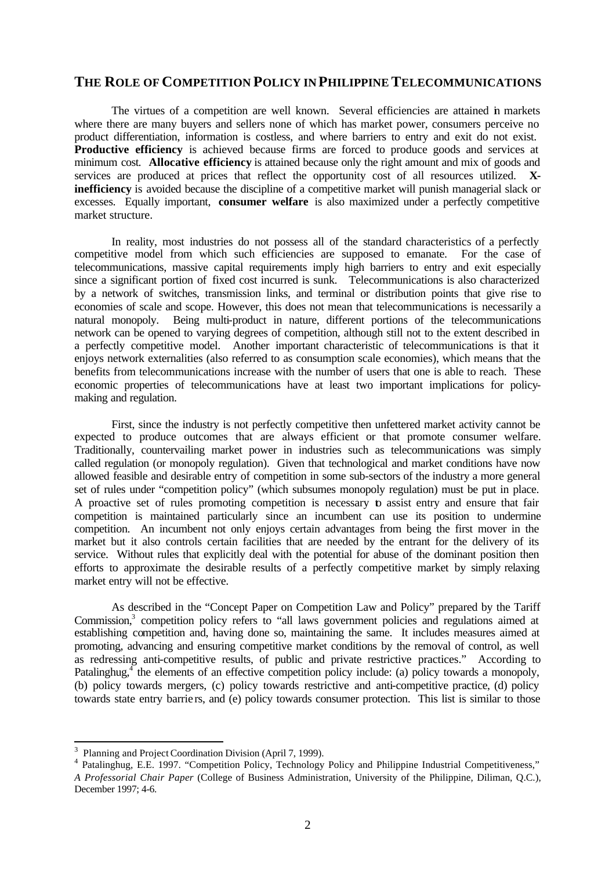## **THE ROLE OF COMPETITION POLICY IN PHILIPPINE TELECOMMUNICATIONS**

The virtues of a competition are well known. Several efficiencies are attained in markets where there are many buyers and sellers none of which has market power, consumers perceive no product differentiation, information is costless, and where barriers to entry and exit do not exist. **Productive efficiency** is achieved because firms are forced to produce goods and services at minimum cost. **Allocative efficiency** is attained because only the right amount and mix of goods and services are produced at prices that reflect the opportunity cost of all resources utilized. **Xinefficiency** is avoided because the discipline of a competitive market will punish managerial slack or excesses. Equally important, **consumer welfare** is also maximized under a perfectly competitive market structure.

In reality, most industries do not possess all of the standard characteristics of a perfectly competitive model from which such efficiencies are supposed to emanate. For the case of telecommunications, massive capital requirements imply high barriers to entry and exit especially since a significant portion of fixed cost incurred is sunk. Telecommunications is also characterized by a network of switches, transmission links, and terminal or distribution points that give rise to economies of scale and scope. However, this does not mean that telecommunications is necessarily a natural monopoly. Being multi-product in nature, different portions of the telecommunications network can be opened to varying degrees of competition, although still not to the extent described in a perfectly competitive model. Another important characteristic of telecommunications is that it enjoys network externalities (also referred to as consumption scale economies), which means that the benefits from telecommunications increase with the number of users that one is able to reach. These economic properties of telecommunications have at least two important implications for policymaking and regulation.

First, since the industry is not perfectly competitive then unfettered market activity cannot be expected to produce outcomes that are always efficient or that promote consumer welfare. Traditionally, countervailing market power in industries such as telecommunications was simply called regulation (or monopoly regulation). Given that technological and market conditions have now allowed feasible and desirable entry of competition in some sub-sectors of the industry a more general set of rules under "competition policy" (which subsumes monopoly regulation) must be put in place. A proactive set of rules promoting competition is necessary **b** assist entry and ensure that fair competition is maintained particularly since an incumbent can use its position to undermine competition. An incumbent not only enjoys certain advantages from being the first mover in the market but it also controls certain facilities that are needed by the entrant for the delivery of its service. Without rules that explicitly deal with the potential for abuse of the dominant position then efforts to approximate the desirable results of a perfectly competitive market by simply relaxing market entry will not be effective.

As described in the "Concept Paper on Competition Law and Policy" prepared by the Tariff Commission,<sup>3</sup> competition policy refers to "all laws government policies and regulations aimed at establishing competition and, having done so, maintaining the same. It includes measures aimed at promoting, advancing and ensuring competitive market conditions by the removal of control, as well as redressing anti-competitive results, of public and private restrictive practices." According to Patalinghug,<sup>4</sup> the elements of an effective competition policy include: (a) policy towards a monopoly, (b) policy towards mergers, (c) policy towards restrictive and anti-competitive practice, (d) policy towards state entry barrie rs, and (e) policy towards consumer protection. This list is similar to those

l

<sup>&</sup>lt;sup>3</sup> Planning and Project Coordination Division (April 7, 1999).

<sup>4</sup> Patalinghug, E.E. 1997. "Competition Policy, Technology Policy and Philippine Industrial Competitiveness," *A Professorial Chair Paper* (College of Business Administration, University of the Philippine, Diliman, Q.C.), December 1997; 4-6.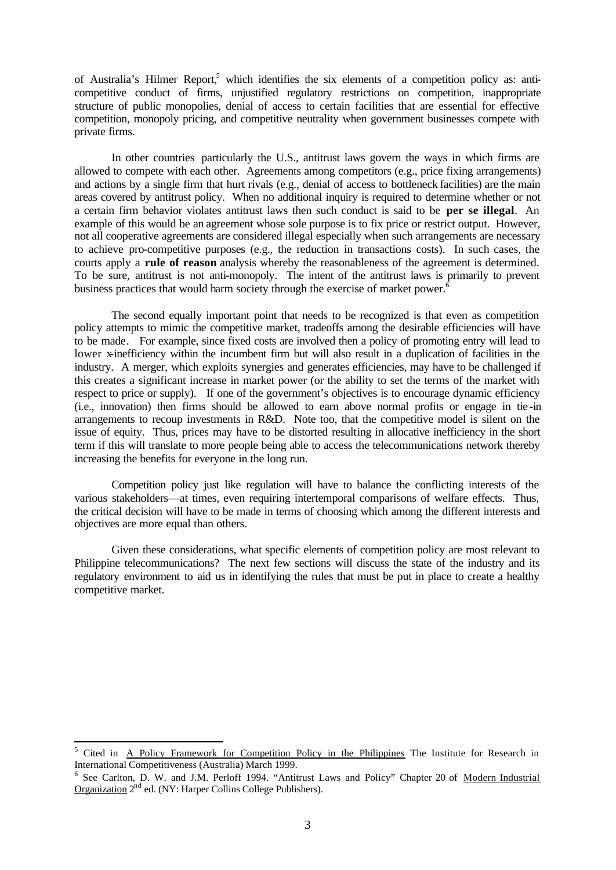of Australia's Hilmer Report,<sup>5</sup> which identifies the six elements of a competition policy as: anticompetitive conduct of firms, unjustified regulatory restrictions on competition, inappropriate structure of public monopolies, denial of access to certain facilities that are essential for effective competition, monopoly pricing, and competitive neutrality when government businesses compete with private firms.

In other countries particularly the U.S., antitrust laws govern the ways in which firms are allowed to compete with each other. Agreements among competitors (e.g., price fixing arrangements) and actions by a single firm that hurt rivals (e.g., denial of access to bottleneck facilities) are the main areas covered by antitrust policy. When no additional inquiry is required to determine whether or not a certain firm behavior violates antitrust laws then such conduct is said to be **per se illegal**. An example of this would be an agreement whose sole purpose is to fix price or restrict output. However, not all cooperative agreements are considered illegal especially when such arrangements are necessary to achieve pro-competitive purposes (e.g., the reduction in transactions costs). In such cases, the courts apply a **rule of reason** analysis whereby the reasonableness of the agreement is determined. To be sure, antitrust is not anti-monopoly. The intent of the antitrust laws is primarily to prevent business practices that would harm society through the exercise of market power.<sup>6</sup>

The second equally important point that needs to be recognized is that even as competition policy attempts to mimic the competitive market, tradeoffs among the desirable efficiencies will have to be made. For example, since fixed costs are involved then a policy of promoting entry will lead to lower x-inefficiency within the incumbent firm but will also result in a duplication of facilities in the industry. A merger, which exploits synergies and generates efficiencies, may have to be challenged if this creates a significant increase in market power (or the ability to set the terms of the market with respect to price or supply). If one of the government's objectives is to encourage dynamic efficiency (i.e., innovation) then firms should be allowed to earn above normal profits or engage in tie-in arrangements to recoup investments in R&D. Note too, that the competitive model is silent on the issue of equity. Thus, prices may have to be distorted resulting in allocative inefficiency in the short term if this will translate to more people being able to access the telecommunications network thereby increasing the benefits for everyone in the long run.

Competition policy just like regulation will have to balance the conflicting interests of the various stakeholders—at times, even requiring intertemporal comparisons of welfare effects. Thus, the critical decision will have to be made in terms of choosing which among the different interests and objectives are more equal than others.

Given these considerations, what specific elements of competition policy are most relevant to Philippine telecommunications? The next few sections will discuss the state of the industry and its regulatory environment to aid us in identifying the rules that must be put in place to create a healthy competitive market.

l

<sup>5</sup> Cited in A Policy Framework for Competition Policy in the Philippines The Institute for Research in International Competitiveness (Australia) March 1999.

<sup>&</sup>lt;sup>6</sup> See Carlton, D. W. and J.M. Perloff 1994. "Antitrust Laws and Policy" Chapter 20 of Modern Industrial Organization  $2<sup>nd</sup>$  ed. (NY: Harper Collins College Publishers).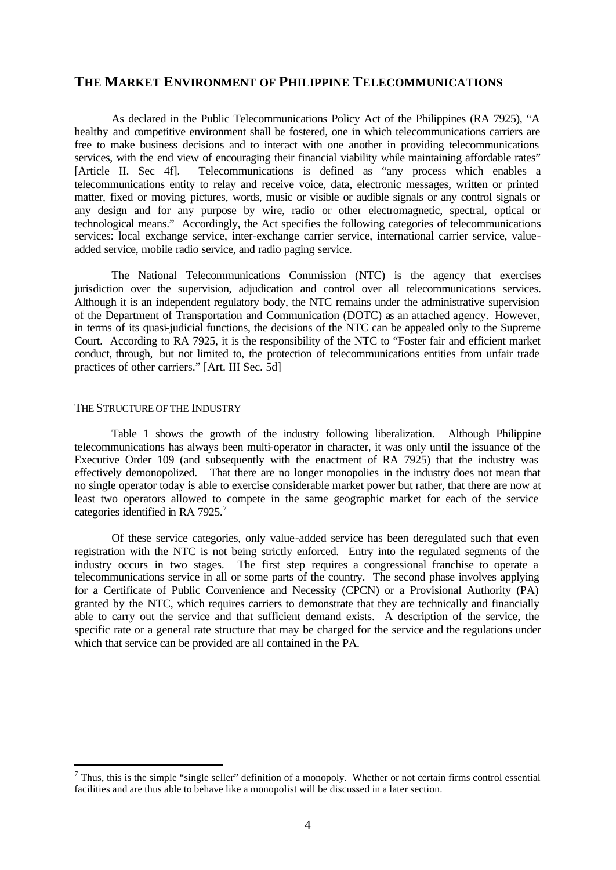## **THE MARKET ENVIRONMENT OF PHILIPPINE TELECOMMUNICATIONS**

As declared in the Public Telecommunications Policy Act of the Philippines (RA 7925), "A healthy and competitive environment shall be fostered, one in which telecommunications carriers are free to make business decisions and to interact with one another in providing telecommunications services, with the end view of encouraging their financial viability while maintaining affordable rates" [Article II. Sec 4f]. Telecommunications is defined as "any process which enables a telecommunications entity to relay and receive voice, data, electronic messages, written or printed matter, fixed or moving pictures, words, music or visible or audible signals or any control signals or any design and for any purpose by wire, radio or other electromagnetic, spectral, optical or technological means." Accordingly, the Act specifies the following categories of telecommunications services: local exchange service, inter-exchange carrier service, international carrier service, valueadded service, mobile radio service, and radio paging service.

The National Telecommunications Commission (NTC) is the agency that exercises jurisdiction over the supervision, adjudication and control over all telecommunications services. Although it is an independent regulatory body, the NTC remains under the administrative supervision of the Department of Transportation and Communication (DOTC) as an attached agency. However, in terms of its quasi-judicial functions, the decisions of the NTC can be appealed only to the Supreme Court. According to RA 7925, it is the responsibility of the NTC to "Foster fair and efficient market conduct, through, but not limited to, the protection of telecommunications entities from unfair trade practices of other carriers." [Art. III Sec. 5d]

### THE STRUCTURE OF THE INDUSTRY

l

Table 1 shows the growth of the industry following liberalization. Although Philippine telecommunications has always been multi-operator in character, it was only until the issuance of the Executive Order 109 (and subsequently with the enactment of RA 7925) that the industry was effectively demonopolized. That there are no longer monopolies in the industry does not mean that no single operator today is able to exercise considerable market power but rather, that there are now at least two operators allowed to compete in the same geographic market for each of the service categories identified in RA 7925.<sup>7</sup>

Of these service categories, only value-added service has been deregulated such that even registration with the NTC is not being strictly enforced. Entry into the regulated segments of the industry occurs in two stages. The first step requires a congressional franchise to operate a telecommunications service in all or some parts of the country. The second phase involves applying for a Certificate of Public Convenience and Necessity (CPCN) or a Provisional Authority (PA) granted by the NTC, which requires carriers to demonstrate that they are technically and financially able to carry out the service and that sufficient demand exists. A description of the service, the specific rate or a general rate structure that may be charged for the service and the regulations under which that service can be provided are all contained in the PA.

 $<sup>7</sup>$  Thus, this is the simple "single seller" definition of a monopoly. Whether or not certain firms control essential</sup> facilities and are thus able to behave like a monopolist will be discussed in a later section.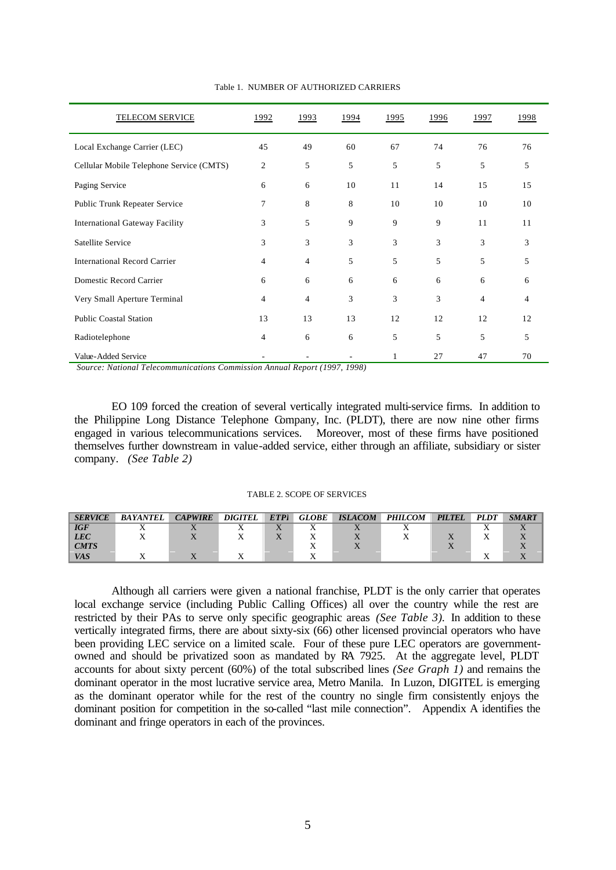| <b>TELECOM SERVICE</b>                   | 1992           | <u>1993</u>    | 1994 | 1995 | 1996 | 1997 | 1998 |
|------------------------------------------|----------------|----------------|------|------|------|------|------|
| Local Exchange Carrier (LEC)             | 45             | 49             | 60   | 67   | 74   | 76   | 76   |
| Cellular Mobile Telephone Service (CMTS) | 2              | 5              | 5    | 5    | 5    | 5    | 5    |
| Paging Service                           | 6              | 6              | 10   | 11   | 14   | 15   | 15   |
| Public Trunk Repeater Service            | $\overline{7}$ | 8              | 8    | 10   | 10   | 10   | 10   |
| <b>International Gateway Facility</b>    | 3              | 5              | 9    | 9    | 9    | 11   | 11   |
| Satellite Service                        | 3              | 3              | 3    | 3    | 3    | 3    | 3    |
| <b>International Record Carrier</b>      | 4              | 4              | 5    | 5    | 5    | 5    | 5    |
| Domestic Record Carrier                  | 6              | 6              | 6    | 6    | 6    | 6    | 6    |
| Very Small Aperture Terminal             | 4              | $\overline{4}$ | 3    | 3    | 3    | 4    | 4    |
| <b>Public Coastal Station</b>            | 13             | 13             | 13   | 12   | 12   | 12   | 12   |
| Radiotelephone                           | 4              | 6              | 6    | 5    | 5    | 5    | 5    |
| Value-Added Service                      |                |                |      |      | 27   | 47   | 70   |

Table 1. NUMBER OF AUTHORIZED CARRIERS

*Source: National Telecommunications Commission Annual Report (1997, 1998)*

EO 109 forced the creation of several vertically integrated multi-service firms. In addition to the Philippine Long Distance Telephone Company, Inc. (PLDT), there are now nine other firms engaged in various telecommunications services. Moreover, most of these firms have positioned themselves further downstream in value-added service, either through an affiliate, subsidiary or sister company. *(See Table 2)*

#### TABLE 2. SCOPE OF SERVICES

| <b>SERVICE</b> | <b>BAYANTEL</b> | <b>CAPWIRE</b> | <b>DIGITEL</b> | <b>ETPI</b> | <b>GLOBE</b> | <b>ISLACOM</b> | <b>PHILCOM</b> | <b>PILTEL</b> | <b>PLDT</b> | <b>SMART</b> |
|----------------|-----------------|----------------|----------------|-------------|--------------|----------------|----------------|---------------|-------------|--------------|
| <b>IGF</b>     |                 |                |                |             |              |                |                |               |             |              |
| <b>LEC</b>     |                 |                |                |             |              |                |                |               |             |              |
| <b>CMTS</b>    |                 |                |                |             |              |                |                |               |             |              |
| VAS            |                 |                |                |             |              |                |                |               |             |              |

Although all carriers were given a national franchise, PLDT is the only carrier that operates local exchange service (including Public Calling Offices) all over the country while the rest are restricted by their PAs to serve only specific geographic areas *(See Table 3).* In addition to these vertically integrated firms, there are about sixty-six (66) other licensed provincial operators who have been providing LEC service on a limited scale. Four of these pure LEC operators are governmentowned and should be privatized soon as mandated by RA 7925. At the aggregate level, PLDT accounts for about sixty percent (60%) of the total subscribed lines *(See Graph 1)* and remains the dominant operator in the most lucrative service area, Metro Manila. In Luzon, DIGITEL is emerging as the dominant operator while for the rest of the country no single firm consistently enjoys the dominant position for competition in the so-called "last mile connection". Appendix A identifies the dominant and fringe operators in each of the provinces.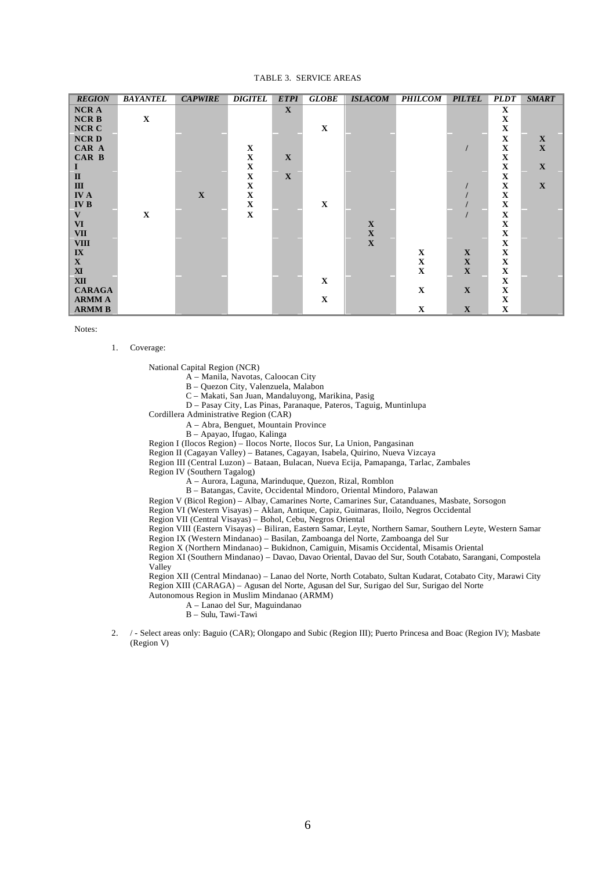#### TABLE 3. SERVICE AREAS

| <b>REGION</b>           | <b>BAYANTEL</b> | <b>CAPWIRE</b> | <b>DIGITEL</b> | <b>ETPI</b>  | <b>GLOBE</b> | <b>ISLACOM</b> | <b>PHILCOM</b> | <b>PILTEL</b>             | <b>PLDT</b> | <b>SMART</b> |
|-------------------------|-----------------|----------------|----------------|--------------|--------------|----------------|----------------|---------------------------|-------------|--------------|
| <b>NCRA</b>             |                 |                |                | $\mathbf X$  |              |                |                |                           | $\mathbf X$ |              |
| <b>NCRB</b>             | $\mathbf X$     |                |                |              |              |                |                |                           | $\mathbf X$ |              |
| <b>NCR C</b>            |                 |                |                |              | $\mathbf X$  |                |                |                           | $\mathbf X$ |              |
| <b>NCRD</b>             |                 |                |                |              |              |                |                |                           | X           | $\mathbf X$  |
| CAR A                   |                 |                | $\mathbf X$    |              |              |                |                |                           | $\mathbf X$ | $\mathbf X$  |
| CAR B                   |                 |                | $\mathbf X$    | $\mathbf{X}$ |              |                |                |                           | $\mathbf X$ |              |
| $\bf{I}$                |                 |                | $\mathbf X$    |              |              |                |                |                           | $\mathbf X$ | $\mathbf X$  |
| $\mathbf{I}$            |                 |                | $\mathbf X$    | $\mathbf{X}$ |              |                |                |                           | $\mathbf X$ |              |
| $\mathbf{III}$          |                 |                | $\mathbf X$    |              |              |                |                |                           | $\mathbf X$ | $\mathbf X$  |
| <b>IVA</b>              |                 | $\mathbf{X}$   | $\mathbf X$    |              |              |                |                |                           | $\mathbf X$ |              |
| <b>IVB</b>              |                 |                | $\mathbf X$    |              | $\mathbf X$  |                |                |                           | $\mathbf X$ |              |
| $\mathbf{V}$            | $\mathbf X$     |                | X              |              |              |                |                |                           | $\mathbf X$ |              |
| <b>VI</b>               |                 |                |                |              |              | $\mathbf X$    |                |                           | $\mathbf X$ |              |
| <b>VII</b>              |                 |                |                |              |              | $\mathbf X$    |                |                           | $\mathbf X$ |              |
| <b>VIII</b>             |                 |                |                |              |              | $\mathbf{X}$   |                |                           | X           |              |
| $\mathbf{I} \mathbf{X}$ |                 |                |                |              |              |                | $\mathbf X$    | $\boldsymbol{\mathrm{X}}$ | $\mathbf X$ |              |
| $\mathbf{X}$            |                 |                |                |              |              |                | $\mathbf X$    | $\mathbf X$               | $\mathbf X$ |              |
| ${\bf X}$               |                 |                |                |              |              |                | $\mathbf X$    | $\mathbf X$               | $\mathbf X$ |              |
| <b>XII</b>              |                 |                |                |              | X            |                |                |                           | X           |              |
| <b>CARAGA</b>           |                 |                |                |              |              |                | $\mathbf X$    | $\mathbf X$               | $\mathbf X$ |              |
| <b>ARMMA</b>            |                 |                |                |              | $\mathbf X$  |                |                |                           | $\mathbf X$ |              |
| <b>ARMMB</b>            |                 |                |                |              |              |                | $\mathbf X$    | $\mathbf X$               | $\mathbf X$ |              |

Notes:

1. Coverage:

National Capital Region (NCR)

A – Manila, Navotas, Caloocan City

B – Quezon City, Valenzuela, Malabon

C – Makati, San Juan, Mandaluyong, Marikina, Pasig

D – Pasay City, Las Pinas, Paranaque, Pateros, Taguig, Muntinlupa

Cordillera Administrative Region (CAR)

A – Abra, Benguet, Mountain Province

B – Apayao, Ifugao, Kalinga

Region I (Ilocos Region) – Ilocos Norte, Ilocos Sur, La Union, Pangasinan

Region II (Cagayan Valley) – Batanes, Cagayan, Isabela, Quirino, Nueva Vizcaya

Region III (Central Luzon) – Bataan, Bulacan, Nueva Ecija, Pamapanga, Tarlac, Zambales

Region IV (Southern Tagalog)

A – Aurora, Laguna, Marinduque, Quezon, Rizal, Romblon

B – Batangas, Cavite, Occidental Mindoro, Oriental Mindoro, Palawan

Region V (Bicol Region) – Albay, Camarines Norte, Camarines Sur, Catanduanes, Masbate, Sorsogon

Region VI (Western Visayas) – Aklan, Antique, Capiz, Guimaras, Iloilo, Negros Occidental

Region VII (Central Visayas) – Bohol, Cebu, Negros Oriental

Region VIII (Eastern Visayas) – Biliran, Eastern Samar, Leyte, Northern Samar, Southern Leyte, Western Samar Region IX (Western Mindanao) – Basilan, Zamboanga del Norte, Zamboanga del Sur

Region X (Northern Mindanao) – Bukidnon, Camiguin, Misamis Occidental, Misamis Oriental

Region XI (Southern Mindanao) – Davao, Davao Oriental, Davao del Sur, South Cotabato, Sarangani, Compostela Valley

Region XII (Central Mindanao) – Lanao del Norte, North Cotabato, Sultan Kudarat, Cotabato City, Marawi City Region XIII (CARAGA) – Agusan del Norte, Agusan del Sur, Surigao del Sur, Surigao del Norte Autonomous Region in Muslim Mindanao (ARMM)

A – Lanao del Sur, Maguindanao

- B Sulu, Tawi-Tawi
- 2. / Select areas only: Baguio (CAR); Olongapo and Subic (Region III); Puerto Princesa and Boac (Region IV); Masbate (Region V)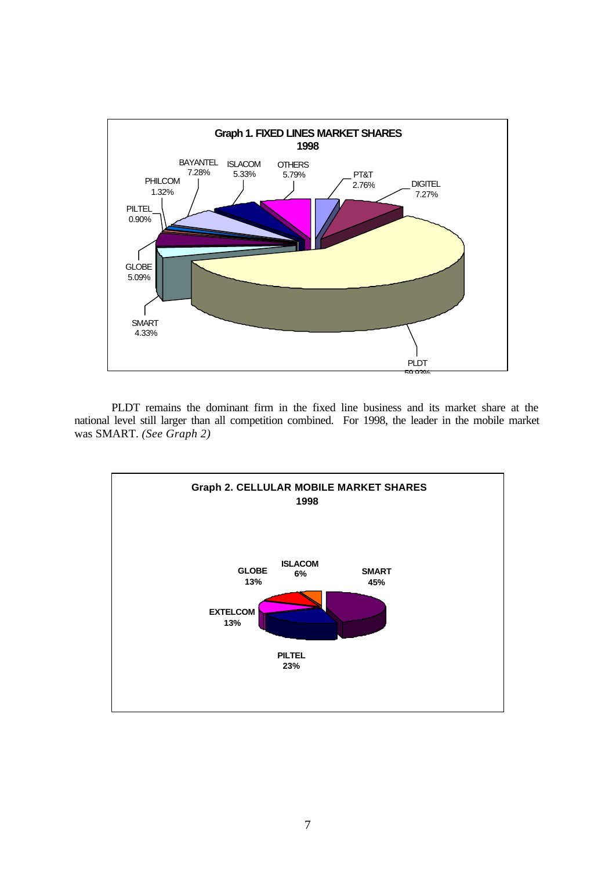

PLDT remains the dominant firm in the fixed line business and its market share at the national level still larger than all competition combined. For 1998, the leader in the mobile market was SMART. *(See Graph 2)*

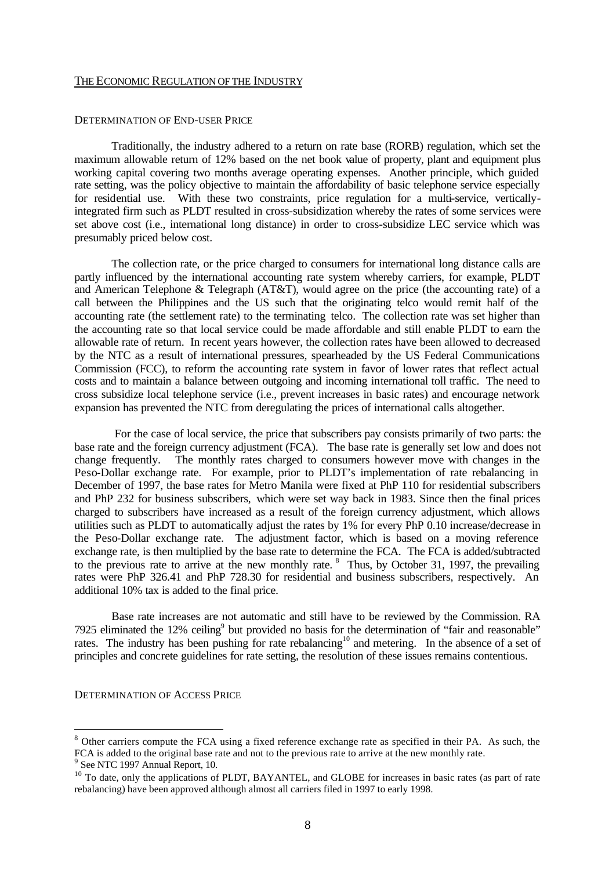#### THE ECONOMIC REGULATION OF THE INDUSTRY

#### DETERMINATION OF END-USER PRICE

Traditionally, the industry adhered to a return on rate base (RORB) regulation, which set the maximum allowable return of 12% based on the net book value of property, plant and equipment plus working capital covering two months average operating expenses. Another principle, which guided rate setting, was the policy objective to maintain the affordability of basic telephone service especially for residential use. With these two constraints, price regulation for a multi-service, verticallyintegrated firm such as PLDT resulted in cross-subsidization whereby the rates of some services were set above cost (i.e., international long distance) in order to cross-subsidize LEC service which was presumably priced below cost.

The collection rate, or the price charged to consumers for international long distance calls are partly influenced by the international accounting rate system whereby carriers, for example, PLDT and American Telephone & Telegraph (AT&T), would agree on the price (the accounting rate) of a call between the Philippines and the US such that the originating telco would remit half of the accounting rate (the settlement rate) to the terminating telco. The collection rate was set higher than the accounting rate so that local service could be made affordable and still enable PLDT to earn the allowable rate of return. In recent years however, the collection rates have been allowed to decreased by the NTC as a result of international pressures, spearheaded by the US Federal Communications Commission (FCC), to reform the accounting rate system in favor of lower rates that reflect actual costs and to maintain a balance between outgoing and incoming international toll traffic. The need to cross subsidize local telephone service (i.e., prevent increases in basic rates) and encourage network expansion has prevented the NTC from deregulating the prices of international calls altogether.

 For the case of local service, the price that subscribers pay consists primarily of two parts: the base rate and the foreign currency adjustment (FCA). The base rate is generally set low and does not change frequently. The monthly rates charged to consumers however move with changes in the Peso-Dollar exchange rate. For example, prior to PLDT's implementation of rate rebalancing in December of 1997, the base rates for Metro Manila were fixed at PhP 110 for residential subscribers and PhP 232 for business subscribers, which were set way back in 1983. Since then the final prices charged to subscribers have increased as a result of the foreign currency adjustment, which allows utilities such as PLDT to automatically adjust the rates by 1% for every PhP 0.10 increase/decrease in the Peso-Dollar exchange rate. The adjustment factor, which is based on a moving reference exchange rate, is then multiplied by the base rate to determine the FCA. The FCA is added/subtracted to the previous rate to arrive at the new monthly rate.  $8$  Thus, by October 31, 1997, the prevailing rates were PhP 326.41 and PhP 728.30 for residential and business subscribers, respectively. An additional 10% tax is added to the final price.

Base rate increases are not automatic and still have to be reviewed by the Commission. RA 7925 eliminated the 12% ceiling<sup>9</sup> but provided no basis for the determination of "fair and reasonable" rates. The industry has been pushing for rate rebalancing<sup>10</sup> and metering. In the absence of a set of principles and concrete guidelines for rate setting, the resolution of these issues remains contentious.

#### DETERMINATION OF ACCESS PRICE

l

<sup>&</sup>lt;sup>8</sup> Other carriers compute the FCA using a fixed reference exchange rate as specified in their PA. As such, the FCA is added to the original base rate and not to the previous rate to arrive at the new monthly rate.

<sup>&</sup>lt;sup>9</sup> See NTC 1997 Annual Report, 10.

<sup>&</sup>lt;sup>10</sup> To date, only the applications of PLDT, BAYANTEL, and GLOBE for increases in basic rates (as part of rate rebalancing) have been approved although almost all carriers filed in 1997 to early 1998.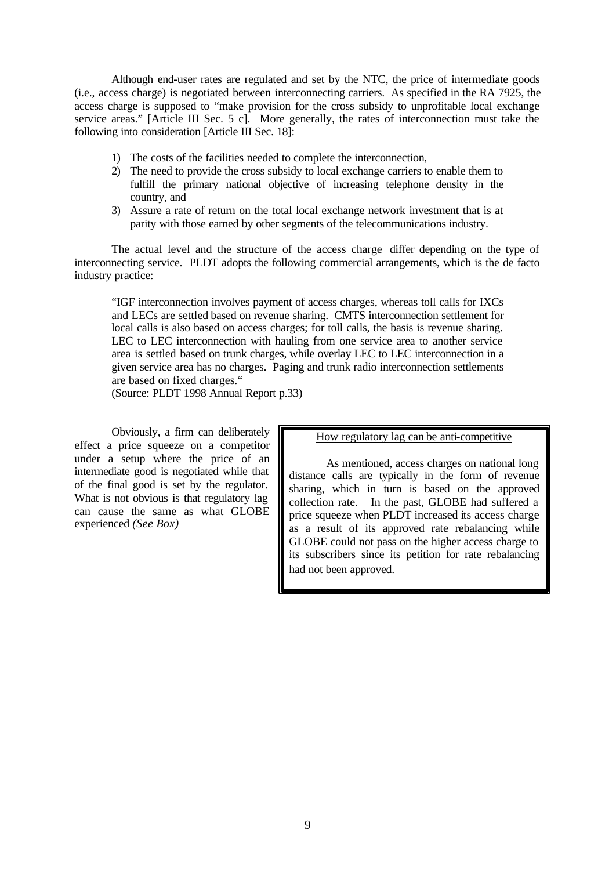Although end-user rates are regulated and set by the NTC, the price of intermediate goods (i.e., access charge) is negotiated between interconnecting carriers. As specified in the RA 7925, the access charge is supposed to "make provision for the cross subsidy to unprofitable local exchange service areas." [Article III Sec. 5 c]. More generally, the rates of interconnection must take the following into consideration [Article III Sec. 18]:

- 1) The costs of the facilities needed to complete the interconnection,
- 2) The need to provide the cross subsidy to local exchange carriers to enable them to fulfill the primary national objective of increasing telephone density in the country, and
- 3) Assure a rate of return on the total local exchange network investment that is at parity with those earned by other segments of the telecommunications industry.

The actual level and the structure of the access charge differ depending on the type of interconnecting service. PLDT adopts the following commercial arrangements, which is the de facto industry practice:

"IGF interconnection involves payment of access charges, whereas toll calls for IXCs and LECs are settled based on revenue sharing. CMTS interconnection settlement for local calls is also based on access charges; for toll calls, the basis is revenue sharing. LEC to LEC interconnection with hauling from one service area to another service area is settled based on trunk charges, while overlay LEC to LEC interconnection in a given service area has no charges. Paging and trunk radio interconnection settlements are based on fixed charges."

(Source: PLDT 1998 Annual Report p.33)

Obviously, a firm can deliberately effect a price squeeze on a competitor under a setup where the price of an intermediate good is negotiated while that of the final good is set by the regulator. What is not obvious is that regulatory lag can cause the same as what GLOBE experienced *(See Box)*

How regulatory lag can be anti-competitive

As mentioned, access charges on national long distance calls are typically in the form of revenue sharing, which in turn is based on the approved collection rate. In the past, GLOBE had suffered a price squeeze when PLDT increased its access charge as a result of its approved rate rebalancing while GLOBE could not pass on the higher access charge to its subscribers since its petition for rate rebalancing had not been approved.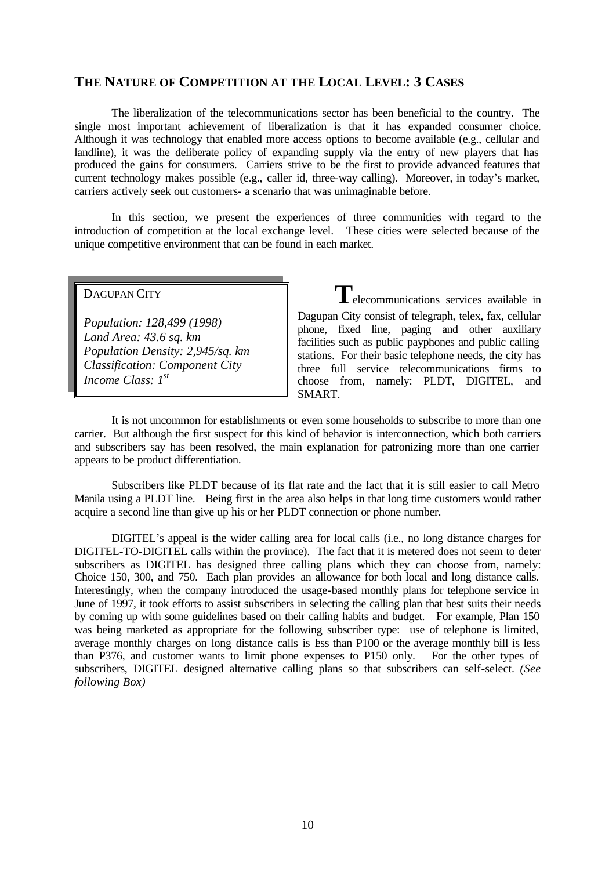## **THE NATURE OF COMPETITION AT THE LOCAL LEVEL: 3 CASES**

The liberalization of the telecommunications sector has been beneficial to the country. The single most important achievement of liberalization is that it has expanded consumer choice. Although it was technology that enabled more access options to become available (e.g., cellular and landline), it was the deliberate policy of expanding supply via the entry of new players that has produced the gains for consumers. Carriers strive to be the first to provide advanced features that current technology makes possible (e.g., caller id, three-way calling). Moreover, in today's market, carriers actively seek out customers- a scenario that was unimaginable before.

In this section, we present the experiences of three communities with regard to the introduction of competition at the local exchange level. These cities were selected because of the unique competitive environment that can be found in each market.

## DAGUPAN CITY

*Population: 128,499 (1998) Land Area: 43.6 sq. km Population Density: 2,945/sq. km Classification: Component City Income Class: 1st*

**T**elecommunications services available in Dagupan City consist of telegraph, telex, fax, cellular phone, fixed line, paging and other auxiliary facilities such as public payphones and public calling stations. For their basic telephone needs, the city has three full service telecommunications firms to choose from, namely: PLDT, DIGITEL, and SMART.

It is not uncommon for establishments or even some households to subscribe to more than one carrier. But although the first suspect for this kind of behavior is interconnection, which both carriers and subscribers say has been resolved, the main explanation for patronizing more than one carrier appears to be product differentiation.

Subscribers like PLDT because of its flat rate and the fact that it is still easier to call Metro Manila using a PLDT line. Being first in the area also helps in that long time customers would rather acquire a second line than give up his or her PLDT connection or phone number.

DIGITEL's appeal is the wider calling area for local calls (i.e., no long distance charges for DIGITEL-TO-DIGITEL calls within the province). The fact that it is metered does not seem to deter subscribers as DIGITEL has designed three calling plans which they can choose from, namely: Choice 150, 300, and 750. Each plan provides an allowance for both local and long distance calls. Interestingly, when the company introduced the usage-based monthly plans for telephone service in June of 1997, it took efforts to assist subscribers in selecting the calling plan that best suits their needs by coming up with some guidelines based on their calling habits and budget. For example, Plan 150 was being marketed as appropriate for the following subscriber type: use of telephone is limited, average monthly charges on long distance calls is less than P100 or the average monthly bill is less than P376, and customer wants to limit phone expenses to P150 only. For the other types of subscribers, DIGITEL designed alternative calling plans so that subscribers can self-select. *(See following Box)*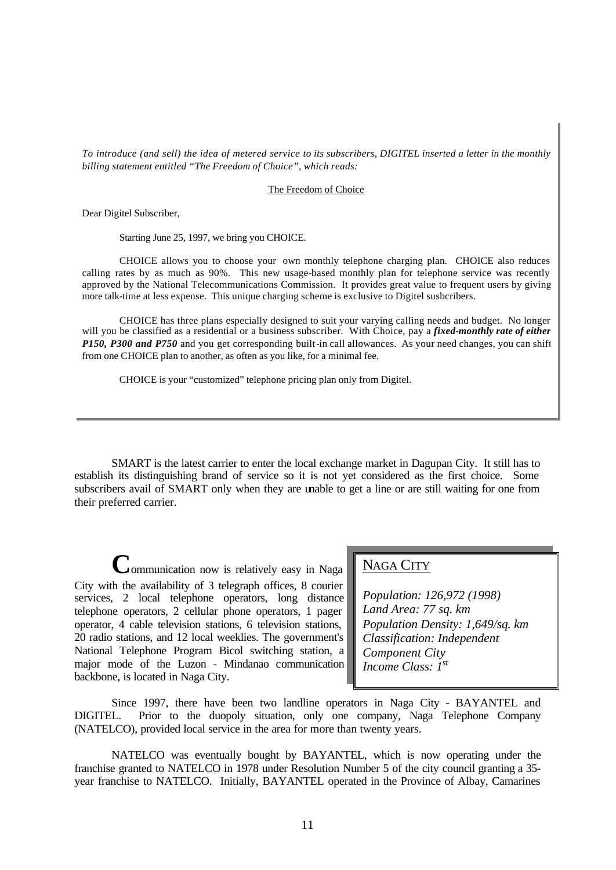*To introduce (and sell) the idea of metered service to its subscribers, DIGITEL inserted a letter in the monthly billing statement entitled "The Freedom of Choice", which reads:*

#### The Freedom of Choice

Dear Digitel Subscriber,

Starting June 25, 1997, we bring you CHOICE.

CHOICE allows you to choose your own monthly telephone charging plan. CHOICE also reduces calling rates by as much as 90%. This new usage-based monthly plan for telephone service was recently approved by the National Telecommunications Commission. It provides great value to frequent users by giving more talk-time at less expense. This unique charging scheme is exclusive to Digitel susbcribers.

CHOICE has three plans especially designed to suit your varying calling needs and budget. No longer will you be classified as a residential or a business subscriber. With Choice, pay a *fixed-monthly rate of either P150, P300 and P750* and you get corresponding built-in call allowances. As your need changes, you can shift from one CHOICE plan to another, as often as you like, for a minimal fee.

CHOICE is your "customized" telephone pricing plan only from Digitel.

SMART is the latest carrier to enter the local exchange market in Dagupan City. It still has to establish its distinguishing brand of service so it is not yet considered as the first choice. Some subscribers avail of SMART only when they are unable to get a line or are still waiting for one from their preferred carrier.

**C**ommunication now is relatively easy in Naga City with the availability of 3 telegraph offices, 8 courier services, 2 local telephone operators, long distance telephone operators, 2 cellular phone operators, 1 pager operator, 4 cable television stations, 6 television stations, 20 radio stations, and 12 local weeklies. The government's National Telephone Program Bicol switching station, a major mode of the Luzon - Mindanao communication backbone, is located in Naga City.

## NAGA CITY

*Population: 126,972 (1998) Land Area: 77 sq. km Population Density: 1,649/sq. km Classification: Independent Component City Income Class: 1st*

Since 1997, there have been two landline operators in Naga City - BAYANTEL and DIGITEL. Prior to the duopoly situation, only one company, Naga Telephone Company (NATELCO), provided local service in the area for more than twenty years.

NATELCO was eventually bought by BAYANTEL, which is now operating under the franchise granted to NATELCO in 1978 under Resolution Number 5 of the city council granting a 35 year franchise to NATELCO. Initially, BAYANTEL operated in the Province of Albay, Camarines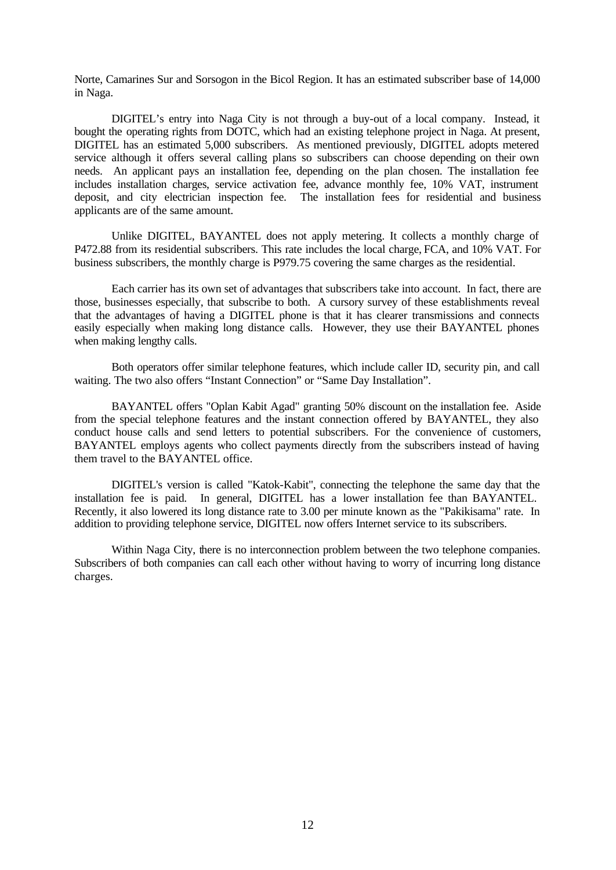Norte, Camarines Sur and Sorsogon in the Bicol Region. It has an estimated subscriber base of 14,000 in Naga.

DIGITEL's entry into Naga City is not through a buy-out of a local company. Instead, it bought the operating rights from DOTC, which had an existing telephone project in Naga. At present, DIGITEL has an estimated 5,000 subscribers. As mentioned previously, DIGITEL adopts metered service although it offers several calling plans so subscribers can choose depending on their own needs. An applicant pays an installation fee, depending on the plan chosen. The installation fee includes installation charges, service activation fee, advance monthly fee, 10% VAT, instrument deposit, and city electrician inspection fee. The installation fees for residential and business applicants are of the same amount.

Unlike DIGITEL, BAYANTEL does not apply metering. It collects a monthly charge of P472.88 from its residential subscribers. This rate includes the local charge, FCA, and 10% VAT. For business subscribers, the monthly charge is P979.75 covering the same charges as the residential.

Each carrier has its own set of advantages that subscribers take into account. In fact, there are those, businesses especially, that subscribe to both. A cursory survey of these establishments reveal that the advantages of having a DIGITEL phone is that it has clearer transmissions and connects easily especially when making long distance calls. However, they use their BAYANTEL phones when making lengthy calls.

Both operators offer similar telephone features, which include caller ID, security pin, and call waiting. The two also offers "Instant Connection" or "Same Day Installation".

BAYANTEL offers "Oplan Kabit Agad" granting 50% discount on the installation fee. Aside from the special telephone features and the instant connection offered by BAYANTEL, they also conduct house calls and send letters to potential subscribers. For the convenience of customers, BAYANTEL employs agents who collect payments directly from the subscribers instead of having them travel to the BAYANTEL office.

DIGITEL's version is called "Katok-Kabit", connecting the telephone the same day that the installation fee is paid. In general, DIGITEL has a lower installation fee than BAYANTEL. Recently, it also lowered its long distance rate to 3.00 per minute known as the "Pakikisama" rate. In addition to providing telephone service, DIGITEL now offers Internet service to its subscribers.

Within Naga City, there is no interconnection problem between the two telephone companies. Subscribers of both companies can call each other without having to worry of incurring long distance charges.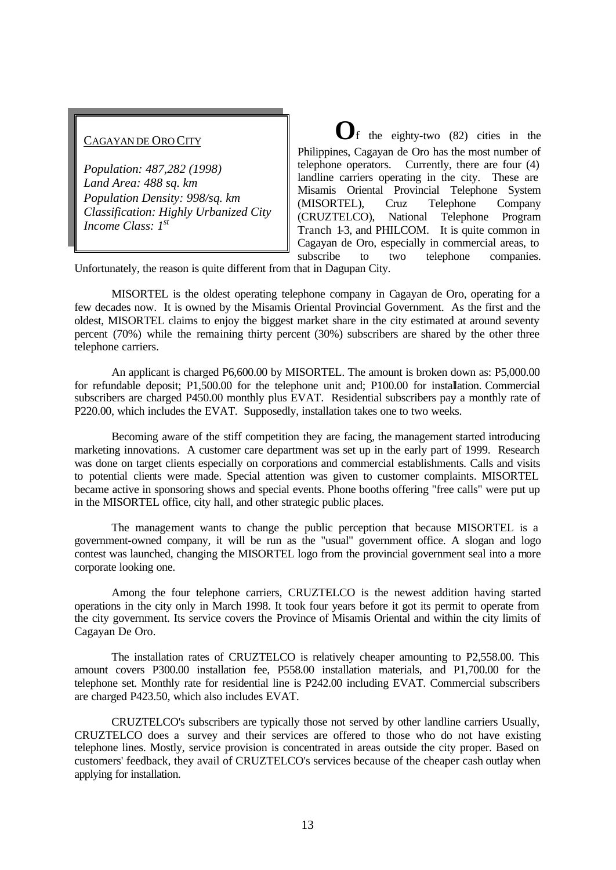## CAGAYAN DE ORO CITY

*Population: 487,282 (1998) Land Area: 488 sq. km Population Density: 998/sq. km Classification: Highly Urbanized City Income Class: 1st*

**O**f the eighty-two (82) cities in the Philippines, Cagayan de Oro has the most number of telephone operators. Currently, there are four (4) landline carriers operating in the city. These are Misamis Oriental Provincial Telephone System (MISORTEL), Cruz Telephone Company (CRUZTELCO), National Telephone Program Tranch 1-3, and PHILCOM. It is quite common in Cagayan de Oro, especially in commercial areas, to subscribe to two telephone companies.

Unfortunately, the reason is quite different from that in Dagupan City.

MISORTEL is the oldest operating telephone company in Cagayan de Oro, operating for a few decades now. It is owned by the Misamis Oriental Provincial Government. As the first and the oldest, MISORTEL claims to enjoy the biggest market share in the city estimated at around seventy percent (70%) while the remaining thirty percent (30%) subscribers are shared by the other three telephone carriers.

An applicant is charged P6,600.00 by MISORTEL. The amount is broken down as: P5,000.00 for refundable deposit; P1,500.00 for the telephone unit and; P100.00 for installation. Commercial subscribers are charged P450.00 monthly plus EVAT. Residential subscribers pay a monthly rate of P220.00, which includes the EVAT. Supposedly, installation takes one to two weeks.

Becoming aware of the stiff competition they are facing, the management started introducing marketing innovations. A customer care department was set up in the early part of 1999. Research was done on target clients especially on corporations and commercial establishments. Calls and visits to potential clients were made. Special attention was given to customer complaints. MISORTEL became active in sponsoring shows and special events. Phone booths offering "free calls" were put up in the MISORTEL office, city hall, and other strategic public places.

The management wants to change the public perception that because MISORTEL is a government-owned company, it will be run as the "usual" government office. A slogan and logo contest was launched, changing the MISORTEL logo from the provincial government seal into a more corporate looking one.

Among the four telephone carriers, CRUZTELCO is the newest addition having started operations in the city only in March 1998. It took four years before it got its permit to operate from the city government. Its service covers the Province of Misamis Oriental and within the city limits of Cagayan De Oro.

The installation rates of CRUZTELCO is relatively cheaper amounting to P2,558.00. This amount covers P300.00 installation fee, P558.00 installation materials, and P1,700.00 for the telephone set. Monthly rate for residential line is P242.00 including EVAT. Commercial subscribers are charged P423.50, which also includes EVAT.

CRUZTELCO's subscribers are typically those not served by other landline carriers Usually, CRUZTELCO does a survey and their services are offered to those who do not have existing telephone lines. Mostly, service provision is concentrated in areas outside the city proper. Based on customers' feedback, they avail of CRUZTELCO's services because of the cheaper cash outlay when applying for installation.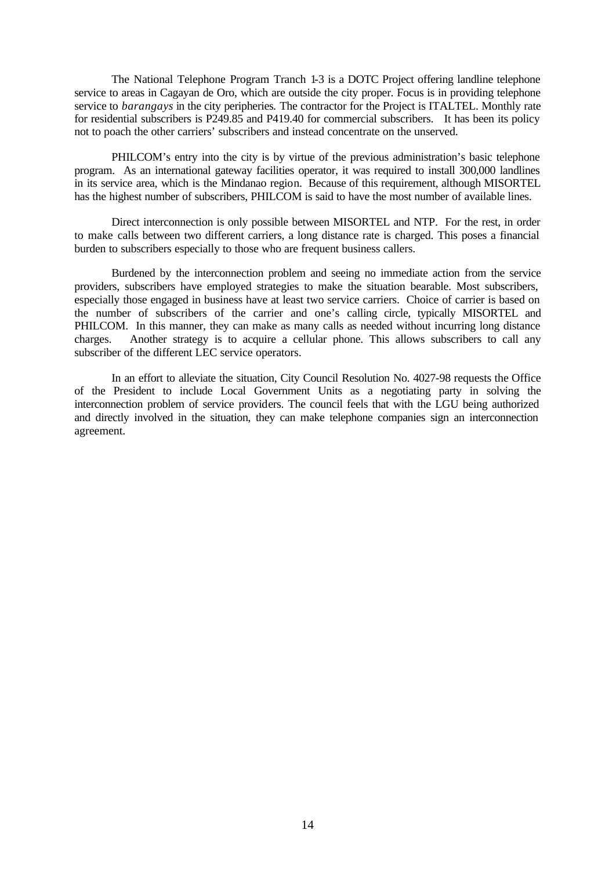The National Telephone Program Tranch 1-3 is a DOTC Project offering landline telephone service to areas in Cagayan de Oro, which are outside the city proper. Focus is in providing telephone service to *barangays* in the city peripheries*.* The contractor for the Project is ITALTEL. Monthly rate for residential subscribers is P249.85 and P419.40 for commercial subscribers. It has been its policy not to poach the other carriers' subscribers and instead concentrate on the unserved.

PHILCOM's entry into the city is by virtue of the previous administration's basic telephone program. As an international gateway facilities operator, it was required to install 300,000 landlines in its service area, which is the Mindanao region. Because of this requirement, although MISORTEL has the highest number of subscribers, PHILCOM is said to have the most number of available lines.

Direct interconnection is only possible between MISORTEL and NTP. For the rest, in order to make calls between two different carriers, a long distance rate is charged. This poses a financial burden to subscribers especially to those who are frequent business callers.

Burdened by the interconnection problem and seeing no immediate action from the service providers, subscribers have employed strategies to make the situation bearable. Most subscribers, especially those engaged in business have at least two service carriers. Choice of carrier is based on the number of subscribers of the carrier and one's calling circle, typically MISORTEL and PHILCOM. In this manner, they can make as many calls as needed without incurring long distance charges. Another strategy is to acquire a cellular phone. This allows subscribers to call any subscriber of the different LEC service operators.

In an effort to alleviate the situation, City Council Resolution No. 4027-98 requests the Office of the President to include Local Government Units as a negotiating party in solving the interconnection problem of service providers. The council feels that with the LGU being authorized and directly involved in the situation, they can make telephone companies sign an interconnection agreement.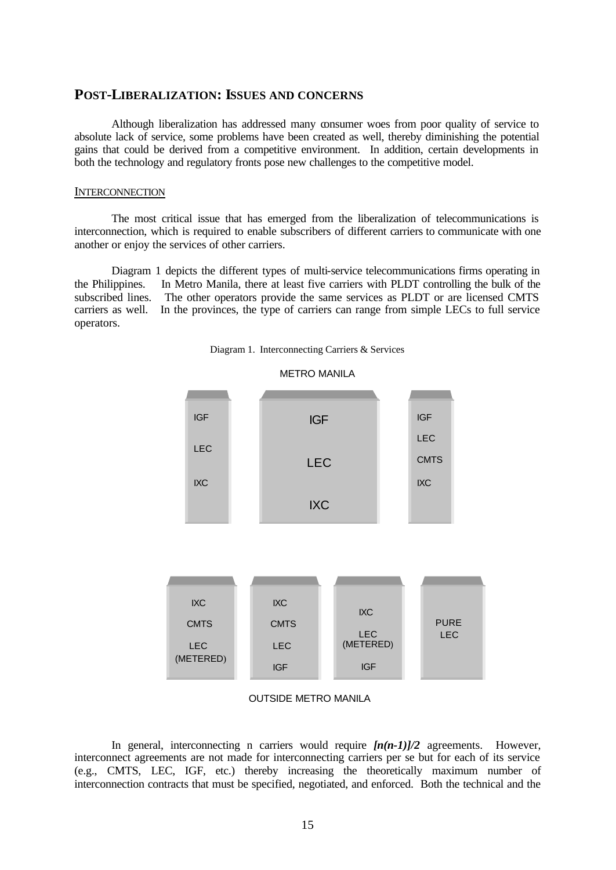## **POST-LIBERALIZATION: ISSUES AND CONCERNS**

Although liberalization has addressed many consumer woes from poor quality of service to absolute lack of service, some problems have been created as well, thereby diminishing the potential gains that could be derived from a competitive environment. In addition, certain developments in both the technology and regulatory fronts pose new challenges to the competitive model.

### **INTERCONNECTION**

The most critical issue that has emerged from the liberalization of telecommunications is interconnection, which is required to enable subscribers of different carriers to communicate with one another or enjoy the services of other carriers.

Diagram 1 depicts the different types of multi-service telecommunications firms operating in the Philippines. In Metro Manila, there at least five carriers with PLDT controlling the bulk of the subscribed lines. The other operators provide the same services as PLDT or are licensed CMTS carriers as well. In the provinces, the type of carriers can range from simple LECs to full service operators.



Diagram 1. Interconnecting Carriers & Services



In general, interconnecting n carriers would require  $[n(n-1)]/2$  agreements. However, interconnect agreements are not made for interconnecting carriers per se but for each of its service (e.g., CMTS, LEC, IGF, etc.) thereby increasing the theoretically maximum number of interconnection contracts that must be specified, negotiated, and enforced. Both the technical and the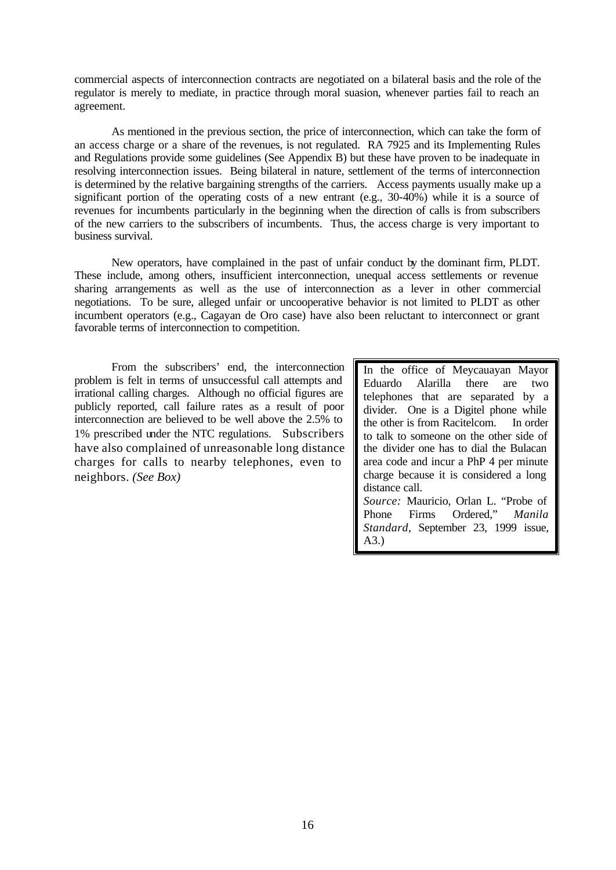commercial aspects of interconnection contracts are negotiated on a bilateral basis and the role of the regulator is merely to mediate, in practice through moral suasion, whenever parties fail to reach an agreement.

As mentioned in the previous section, the price of interconnection, which can take the form of an access charge or a share of the revenues, is not regulated. RA 7925 and its Implementing Rules and Regulations provide some guidelines (See Appendix B) but these have proven to be inadequate in resolving interconnection issues. Being bilateral in nature, settlement of the terms of interconnection is determined by the relative bargaining strengths of the carriers. Access payments usually make up a significant portion of the operating costs of a new entrant (e.g., 30-40%) while it is a source of revenues for incumbents particularly in the beginning when the direction of calls is from subscribers of the new carriers to the subscribers of incumbents. Thus, the access charge is very important to business survival.

New operators, have complained in the past of unfair conduct by the dominant firm, PLDT. These include, among others, insufficient interconnection, unequal access settlements or revenue sharing arrangements as well as the use of interconnection as a lever in other commercial negotiations. To be sure, alleged unfair or uncooperative behavior is not limited to PLDT as other incumbent operators (e.g., Cagayan de Oro case) have also been reluctant to interconnect or grant favorable terms of interconnection to competition.

From the subscribers' end, the interconnection problem is felt in terms of unsuccessful call attempts and irrational calling charges. Although no official figures are publicly reported, call failure rates as a result of poor interconnection are believed to be well above the 2.5% to 1% prescribed under the NTC regulations. Subscribers have also complained of unreasonable long distance charges for calls to nearby telephones, even to neighbors. *(See Box)*

In the office of Meycauayan Mayor Eduardo Alarilla there are two telephones that are separated by a divider. One is a Digitel phone while the other is from Racitelcom. In order to talk to someone on the other side of the divider one has to dial the Bulacan area code and incur a PhP 4 per minute charge because it is considered a long distance call. *Source:* Mauricio, Orlan L. "Probe of Phone Firms Ordered," *Manila Standard*, September 23, 1999 issue,

A3.)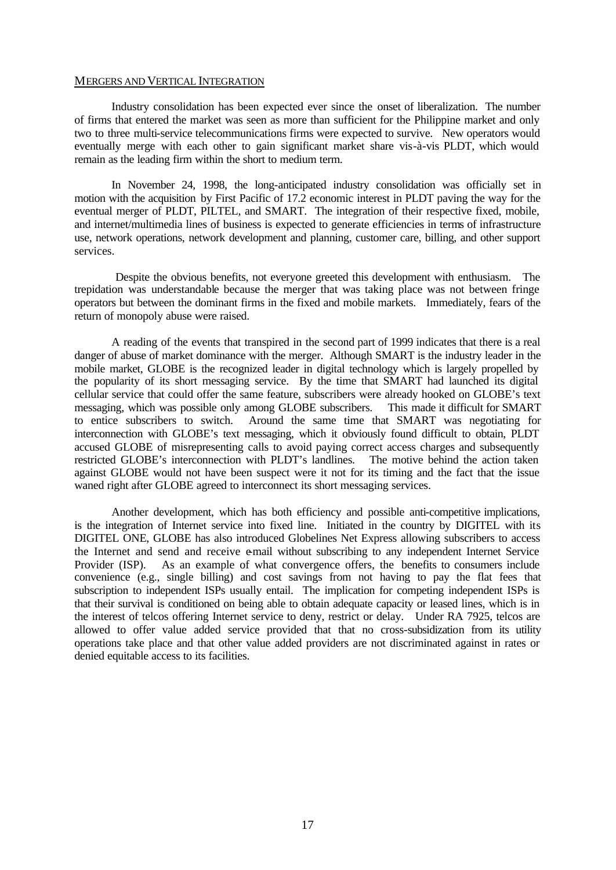#### MERGERS AND VERTICAL INTEGRATION

Industry consolidation has been expected ever since the onset of liberalization. The number of firms that entered the market was seen as more than sufficient for the Philippine market and only two to three multi-service telecommunications firms were expected to survive. New operators would eventually merge with each other to gain significant market share vis-à-vis PLDT, which would remain as the leading firm within the short to medium term.

In November 24, 1998, the long-anticipated industry consolidation was officially set in motion with the acquisition by First Pacific of 17.2 economic interest in PLDT paving the way for the eventual merger of PLDT, PILTEL, and SMART. The integration of their respective fixed, mobile, and internet/multimedia lines of business is expected to generate efficiencies in terms of infrastructure use, network operations, network development and planning, customer care, billing, and other support services.

 Despite the obvious benefits, not everyone greeted this development with enthusiasm. The trepidation was understandable because the merger that was taking place was not between fringe operators but between the dominant firms in the fixed and mobile markets. Immediately, fears of the return of monopoly abuse were raised.

A reading of the events that transpired in the second part of 1999 indicates that there is a real danger of abuse of market dominance with the merger. Although SMART is the industry leader in the mobile market, GLOBE is the recognized leader in digital technology which is largely propelled by the popularity of its short messaging service. By the time that SMART had launched its digital cellular service that could offer the same feature, subscribers were already hooked on GLOBE's text messaging, which was possible only among GLOBE subscribers. This made it difficult for SMART to entice subscribers to switch. Around the same time that SMART was negotiating for interconnection with GLOBE's text messaging, which it obviously found difficult to obtain, PLDT accused GLOBE of misrepresenting calls to avoid paying correct access charges and subsequently restricted GLOBE's interconnection with PLDT's landlines. The motive behind the action taken against GLOBE would not have been suspect were it not for its timing and the fact that the issue waned right after GLOBE agreed to interconnect its short messaging services.

Another development, which has both efficiency and possible anti-competitive implications, is the integration of Internet service into fixed line. Initiated in the country by DIGITEL with its DIGITEL ONE, GLOBE has also introduced Globelines Net Express allowing subscribers to access the Internet and send and receive e-mail without subscribing to any independent Internet Service Provider (ISP). As an example of what convergence offers, the benefits to consumers include convenience (e.g., single billing) and cost savings from not having to pay the flat fees that subscription to independent ISPs usually entail. The implication for competing independent ISPs is that their survival is conditioned on being able to obtain adequate capacity or leased lines, which is in the interest of telcos offering Internet service to deny, restrict or delay. Under RA 7925, telcos are allowed to offer value added service provided that that no cross-subsidization from its utility operations take place and that other value added providers are not discriminated against in rates or denied equitable access to its facilities.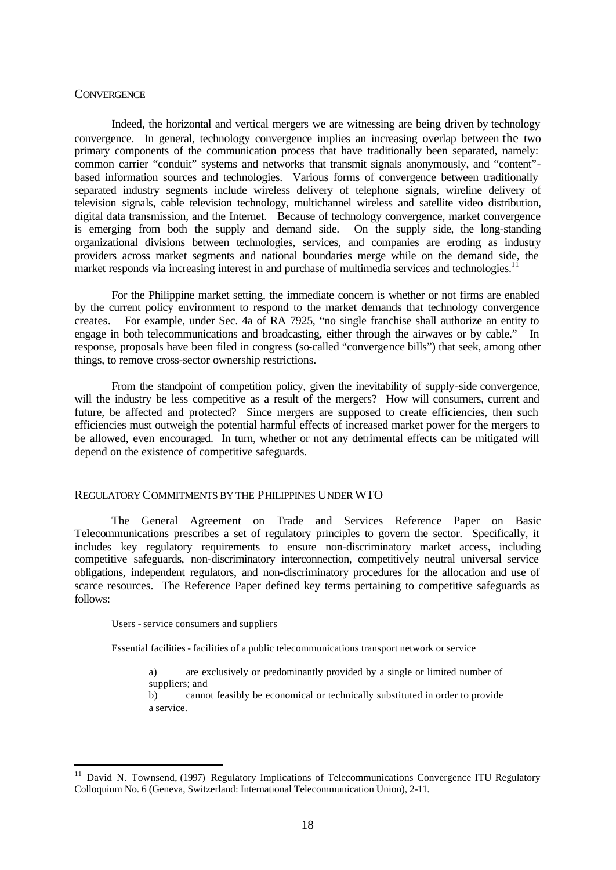#### **CONVERGENCE**

Indeed, the horizontal and vertical mergers we are witnessing are being driven by technology convergence. In general, technology convergence implies an increasing overlap between the two primary components of the communication process that have traditionally been separated, namely: common carrier "conduit" systems and networks that transmit signals anonymously, and "content" based information sources and technologies. Various forms of convergence between traditionally separated industry segments include wireless delivery of telephone signals, wireline delivery of television signals, cable television technology, multichannel wireless and satellite video distribution, digital data transmission, and the Internet. Because of technology convergence, market convergence is emerging from both the supply and demand side. On the supply side, the long-standing organizational divisions between technologies, services, and companies are eroding as industry providers across market segments and national boundaries merge while on the demand side, the market responds via increasing interest in and purchase of multimedia services and technologies.<sup>1</sup>

For the Philippine market setting, the immediate concern is whether or not firms are enabled by the current policy environment to respond to the market demands that technology convergence creates. For example, under Sec. 4a of RA 7925, "no single franchise shall authorize an entity to engage in both telecommunications and broadcasting, either through the airwaves or by cable." In response, proposals have been filed in congress (so-called "convergence bills") that seek, among other things, to remove cross-sector ownership restrictions.

From the standpoint of competition policy, given the inevitability of supply-side convergence, will the industry be less competitive as a result of the mergers? How will consumers, current and future, be affected and protected? Since mergers are supposed to create efficiencies, then such efficiencies must outweigh the potential harmful effects of increased market power for the mergers to be allowed, even encouraged. In turn, whether or not any detrimental effects can be mitigated will depend on the existence of competitive safeguards.

## REGULATORY COMMITMENTS BY THE PHILIPPINES UNDER WTO

The General Agreement on Trade and Services Reference Paper on Basic Telecommunications prescribes a set of regulatory principles to govern the sector. Specifically, it includes key regulatory requirements to ensure non-discriminatory market access, including competitive safeguards, non-discriminatory interconnection, competitively neutral universal service obligations, independent regulators, and non-discriminatory procedures for the allocation and use of scarce resources. The Reference Paper defined key terms pertaining to competitive safeguards as follows:

#### Users - service consumers and suppliers

l

Essential facilities - facilities of a public telecommunications transport network or service

a) are exclusively or predominantly provided by a single or limited number of suppliers; and

b) cannot feasibly be economical or technically substituted in order to provide a service.

<sup>&</sup>lt;sup>11</sup> David N. Townsend, (1997) Regulatory Implications of Telecommunications Convergence ITU Regulatory Colloquium No. 6 (Geneva, Switzerland: International Telecommunication Union), 2-11.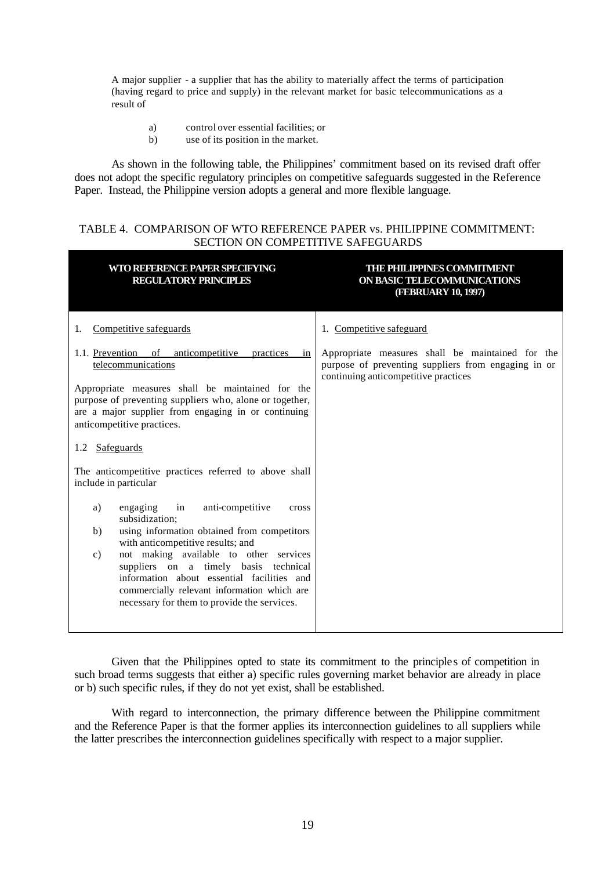A major supplier - a supplier that has the ability to materially affect the terms of participation (having regard to price and supply) in the relevant market for basic telecommunications as a result of

- a) control over essential facilities; or
- b) use of its position in the market.

As shown in the following table, the Philippines' commitment based on its revised draft offer does not adopt the specific regulatory principles on competitive safeguards suggested in the Reference Paper. Instead, the Philippine version adopts a general and more flexible language.

## TABLE 4. COMPARISON OF WTO REFERENCE PAPER vs. PHILIPPINE COMMITMENT: SECTION ON COMPETITIVE SAFEGUARDS

| WTO REFERENCE PAPER SPECIFYING<br><b>REGULATORY PRINCIPLES</b>                                                                                                                                                                               | THE PHILIPPINES COMMITMENT<br>ON BASIC TELECOMMUNICATIONS<br>(FEBRUARY 10, 1997)                                                                |
|----------------------------------------------------------------------------------------------------------------------------------------------------------------------------------------------------------------------------------------------|-------------------------------------------------------------------------------------------------------------------------------------------------|
| Competitive safeguards<br>1.                                                                                                                                                                                                                 | 1. Competitive safeguard                                                                                                                        |
| 1.1. Prevention of anticompetitive practices in<br>telecommunications                                                                                                                                                                        | Appropriate measures shall be maintained for the<br>purpose of preventing suppliers from engaging in or<br>continuing anticompetitive practices |
| Appropriate measures shall be maintained for the<br>purpose of preventing suppliers who, alone or together,<br>are a major supplier from engaging in or continuing<br>anticompetitive practices.                                             |                                                                                                                                                 |
| 1.2 Safeguards                                                                                                                                                                                                                               |                                                                                                                                                 |
| The anticompetitive practices referred to above shall<br>include in particular                                                                                                                                                               |                                                                                                                                                 |
| anti-competitive<br>engaging<br>in<br>a)<br>cross<br>subsidization:                                                                                                                                                                          |                                                                                                                                                 |
| using information obtained from competitors<br>b)<br>with anticompetitive results; and                                                                                                                                                       |                                                                                                                                                 |
| not making available to other services<br>$\mathbf{c})$<br>suppliers on a timely basis technical<br>information about essential facilities and<br>commercially relevant information which are<br>necessary for them to provide the services. |                                                                                                                                                 |

Given that the Philippines opted to state its commitment to the principles of competition in such broad terms suggests that either a) specific rules governing market behavior are already in place or b) such specific rules, if they do not yet exist, shall be established.

With regard to interconnection, the primary difference between the Philippine commitment and the Reference Paper is that the former applies its interconnection guidelines to all suppliers while the latter prescribes the interconnection guidelines specifically with respect to a major supplier.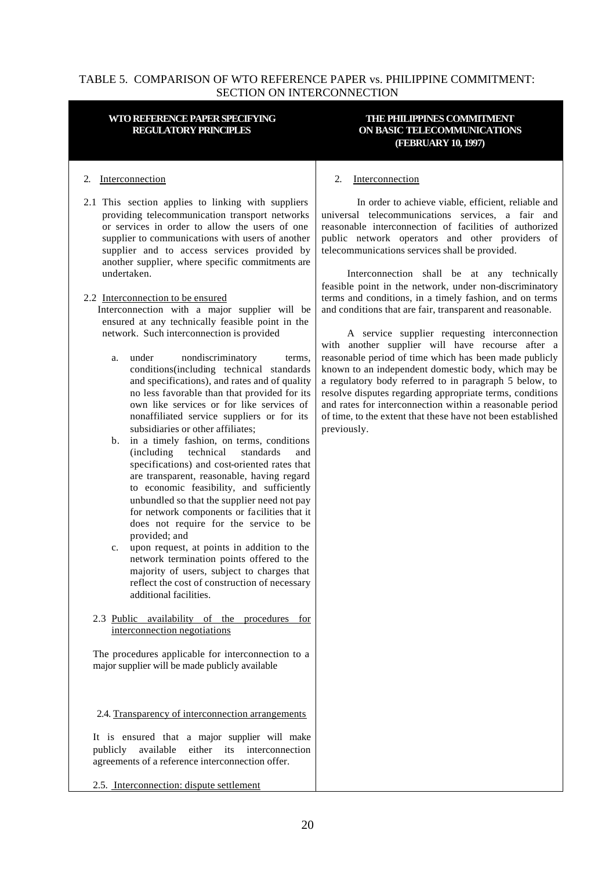## TABLE 5. COMPARISON OF WTO REFERENCE PAPER vs. PHILIPPINE COMMITMENT: SECTION ON INTERCONNECTION

#### **WTO REFERENCE PAPER SPECIFYING REGULATORY PRINCIPLES**

## **THE PHILIPPINES COMMITMENT ON BASIC TELECOMMUNICATIONS (FEBRUARY 10, 1997)**

#### 2. Interconnection

2.1 This section applies to linking with suppliers providing telecommunication transport networks or services in order to allow the users of one supplier to communications with users of another supplier and to access services provided by another supplier, where specific commitments are undertaken.

### 2.2 Interconnection to be ensured

 Interconnection with a major supplier will be ensured at any technically feasible point in the network. Such interconnection is provided

- a. under nondiscriminatory terms, conditions(including technical standards and specifications), and rates and of quality no less favorable than that provided for its own like services or for like services of nonaffiliated service suppliers or for its subsidiaries or other affiliates;
- b. in a timely fashion, on terms, conditions (including technical standards and specifications) and cost-oriented rates that are transparent, reasonable, having regard to economic feasibility, and sufficiently unbundled so that the supplier need not pay for network components or facilities that it does not require for the service to be provided; and
- c. upon request, at points in addition to the network termination points offered to the majority of users, subject to charges that reflect the cost of construction of necessary additional facilities.

### 2.3 Public availability of the procedures for interconnection negotiations

The procedures applicable for interconnection to a major supplier will be made publicly available

2.4. Transparency of interconnection arrangements

It is ensured that a major supplier will make publicly available either its interconnection agreements of a reference interconnection offer.

2.5. Interconnection: dispute settlement

### 2. Interconnection

 In order to achieve viable, efficient, reliable and universal telecommunications services, a fair and reasonable interconnection of facilities of authorized public network operators and other providers of telecommunications services shall be provided.

 Interconnection shall be at any technically feasible point in the network, under non-discriminatory terms and conditions, in a timely fashion, and on terms and conditions that are fair, transparent and reasonable.

 A service supplier requesting interconnection with another supplier will have recourse after a reasonable period of time which has been made publicly known to an independent domestic body, which may be a regulatory body referred to in paragraph 5 below, to resolve disputes regarding appropriate terms, conditions and rates for interconnection within a reasonable period of time, to the extent that these have not been established previously.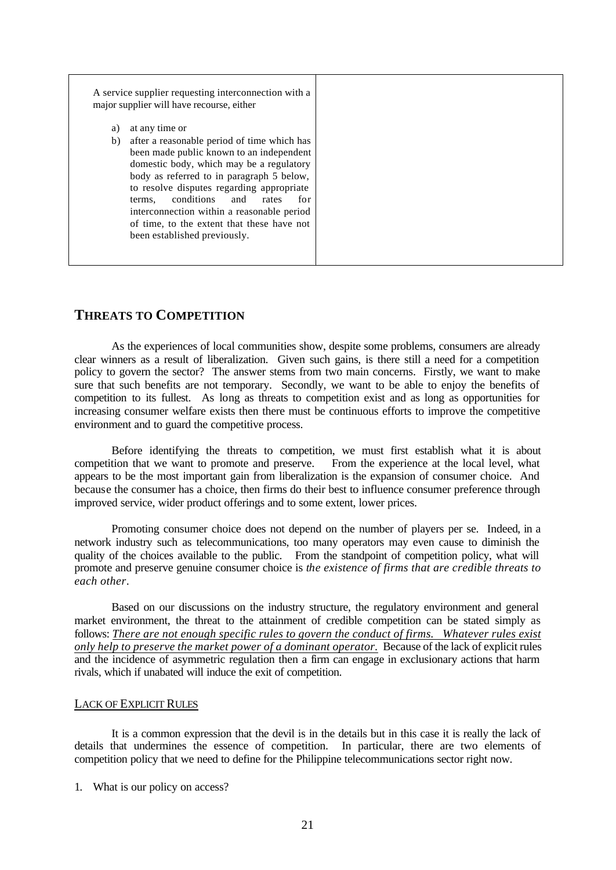|          | A service supplier requesting interconnection with a<br>major supplier will have recourse, either                                                                                                                                                                                                                                                                                                                          |
|----------|----------------------------------------------------------------------------------------------------------------------------------------------------------------------------------------------------------------------------------------------------------------------------------------------------------------------------------------------------------------------------------------------------------------------------|
| a)<br>b) | at any time or<br>after a reasonable period of time which has<br>been made public known to an independent<br>domestic body, which may be a regulatory<br>body as referred to in paragraph 5 below,<br>to resolve disputes regarding appropriate<br>conditions<br>and<br>rates<br>terms.<br>for<br>interconnection within a reasonable period<br>of time, to the extent that these have not<br>been established previously. |

## **THREATS TO COMPETITION**

As the experiences of local communities show, despite some problems, consumers are already clear winners as a result of liberalization. Given such gains, is there still a need for a competition policy to govern the sector? The answer stems from two main concerns. Firstly, we want to make sure that such benefits are not temporary. Secondly, we want to be able to enjoy the benefits of competition to its fullest. As long as threats to competition exist and as long as opportunities for increasing consumer welfare exists then there must be continuous efforts to improve the competitive environment and to guard the competitive process.

Before identifying the threats to competition, we must first establish what it is about competition that we want to promote and preserve. From the experience at the local level, what appears to be the most important gain from liberalization is the expansion of consumer choice. And because the consumer has a choice, then firms do their best to influence consumer preference through improved service, wider product offerings and to some extent, lower prices.

Promoting consumer choice does not depend on the number of players per se. Indeed, in a network industry such as telecommunications, too many operators may even cause to diminish the quality of the choices available to the public. From the standpoint of competition policy, what will promote and preserve genuine consumer choice is *the existence of firms that are credible threats to each other*.

Based on our discussions on the industry structure, the regulatory environment and general market environment, the threat to the attainment of credible competition can be stated simply as follows: *There are not enough specific rules to govern the conduct of firms. Whatever rules exist only help to preserve the market power of a dominant operator.* Because of the lack of explicit rules and the incidence of asymmetric regulation then a firm can engage in exclusionary actions that harm rivals, which if unabated will induce the exit of competition.

### LACK OF EXPLICIT RULES

It is a common expression that the devil is in the details but in this case it is really the lack of details that undermines the essence of competition. In particular, there are two elements of competition policy that we need to define for the Philippine telecommunications sector right now.

1. What is our policy on access?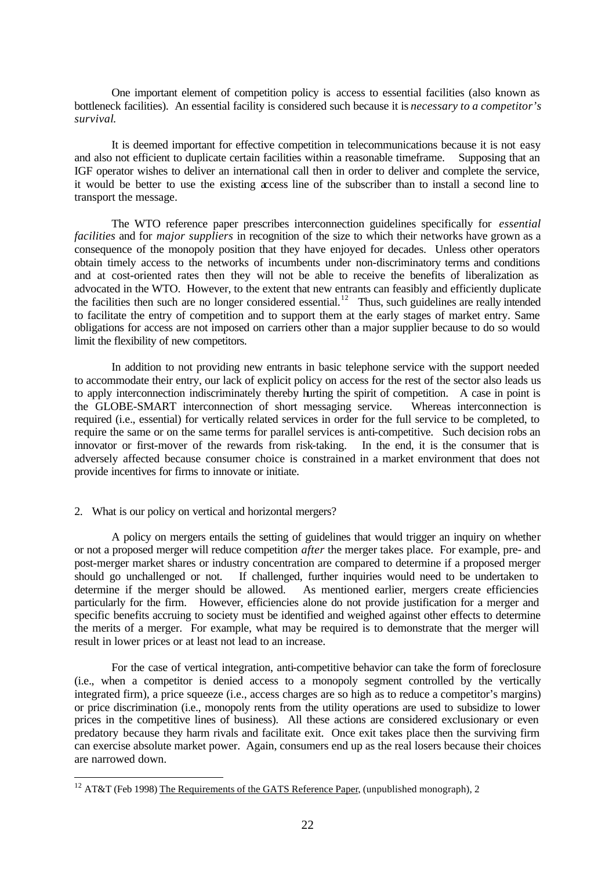One important element of competition policy is access to essential facilities (also known as bottleneck facilities). An essential facility is considered such because it is *necessary to a competitor's survival*.

It is deemed important for effective competition in telecommunications because it is not easy and also not efficient to duplicate certain facilities within a reasonable timeframe. Supposing that an IGF operator wishes to deliver an international call then in order to deliver and complete the service, it would be better to use the existing access line of the subscriber than to install a second line to transport the message.

The WTO reference paper prescribes interconnection guidelines specifically for *essential facilities* and for *major suppliers* in recognition of the size to which their networks have grown as a consequence of the monopoly position that they have enjoyed for decades. Unless other operators obtain timely access to the networks of incumbents under non-discriminatory terms and conditions and at cost-oriented rates then they will not be able to receive the benefits of liberalization as advocated in the WTO. However, to the extent that new entrants can feasibly and efficiently duplicate the facilities then such are no longer considered essential.<sup>12</sup> Thus, such guidelines are really intended to facilitate the entry of competition and to support them at the early stages of market entry. Same obligations for access are not imposed on carriers other than a major supplier because to do so would limit the flexibility of new competitors.

In addition to not providing new entrants in basic telephone service with the support needed to accommodate their entry, our lack of explicit policy on access for the rest of the sector also leads us to apply interconnection indiscriminately thereby hurting the spirit of competition. A case in point is the GLOBE-SMART interconnection of short messaging service. Whereas interconnection is required (i.e., essential) for vertically related services in order for the full service to be completed, to require the same or on the same terms for parallel services is anti-competitive. Such decision robs an innovator or first-mover of the rewards from risk-taking. In the end, it is the consumer that is adversely affected because consumer choice is constrained in a market environment that does not provide incentives for firms to innovate or initiate.

### 2. What is our policy on vertical and horizontal mergers?

l

A policy on mergers entails the setting of guidelines that would trigger an inquiry on whether or not a proposed merger will reduce competition *after* the merger takes place. For example, pre- and post-merger market shares or industry concentration are compared to determine if a proposed merger should go unchallenged or not. If challenged, further inquiries would need to be undertaken to determine if the merger should be allowed. As mentioned earlier, mergers create efficiencies particularly for the firm. However, efficiencies alone do not provide justification for a merger and specific benefits accruing to society must be identified and weighed against other effects to determine the merits of a merger. For example, what may be required is to demonstrate that the merger will result in lower prices or at least not lead to an increase.

For the case of vertical integration, anti-competitive behavior can take the form of foreclosure (i.e., when a competitor is denied access to a monopoly segment controlled by the vertically integrated firm), a price squeeze (i.e., access charges are so high as to reduce a competitor's margins) or price discrimination (i.e., monopoly rents from the utility operations are used to subsidize to lower prices in the competitive lines of business). All these actions are considered exclusionary or even predatory because they harm rivals and facilitate exit. Once exit takes place then the surviving firm can exercise absolute market power. Again, consumers end up as the real losers because their choices are narrowed down.

<sup>&</sup>lt;sup>12</sup> AT&T (Feb 1998) The Requirements of the GATS Reference Paper, (unpublished monograph), 2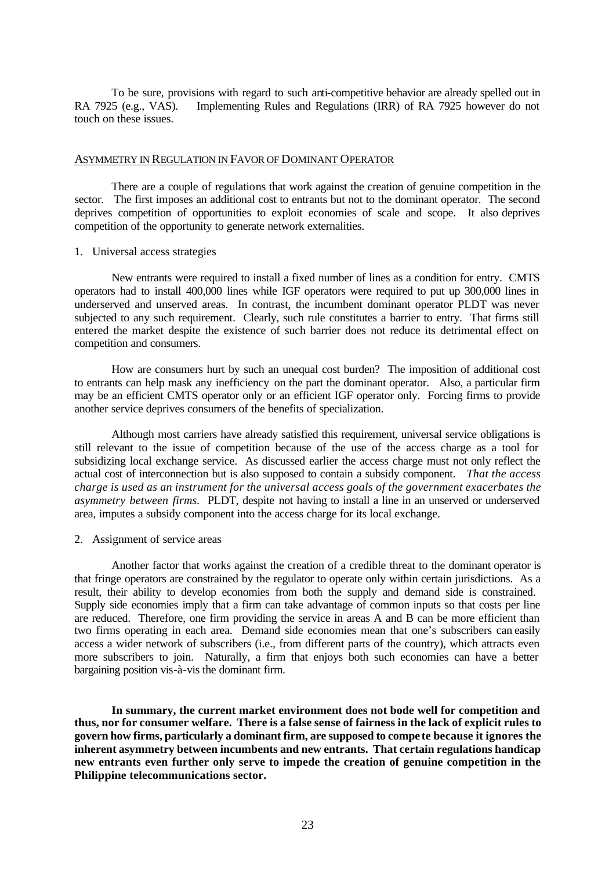To be sure, provisions with regard to such anti-competitive behavior are already spelled out in RA 7925 (e.g., VAS). Implementing Rules and Regulations (IRR) of RA 7925 however do not touch on these issues.

### ASYMMETRY IN REGULATION IN FAVOR OF DOMINANT OPERATOR

There are a couple of regulations that work against the creation of genuine competition in the sector. The first imposes an additional cost to entrants but not to the dominant operator. The second deprives competition of opportunities to exploit economies of scale and scope. It also deprives competition of the opportunity to generate network externalities.

#### 1. Universal access strategies

New entrants were required to install a fixed number of lines as a condition for entry. CMTS operators had to install 400,000 lines while IGF operators were required to put up 300,000 lines in underserved and unserved areas. In contrast, the incumbent dominant operator PLDT was never subjected to any such requirement. Clearly, such rule constitutes a barrier to entry. That firms still entered the market despite the existence of such barrier does not reduce its detrimental effect on competition and consumers.

How are consumers hurt by such an unequal cost burden? The imposition of additional cost to entrants can help mask any inefficiency on the part the dominant operator. Also, a particular firm may be an efficient CMTS operator only or an efficient IGF operator only. Forcing firms to provide another service deprives consumers of the benefits of specialization.

Although most carriers have already satisfied this requirement, universal service obligations is still relevant to the issue of competition because of the use of the access charge as a tool for subsidizing local exchange service. As discussed earlier the access charge must not only reflect the actual cost of interconnection but is also supposed to contain a subsidy component. *That the access charge is used as an instrument for the universal access goals of the government exacerbates the asymmetry between firms.* PLDT, despite not having to install a line in an unserved or underserved area, imputes a subsidy component into the access charge for its local exchange.

#### 2. Assignment of service areas

Another factor that works against the creation of a credible threat to the dominant operator is that fringe operators are constrained by the regulator to operate only within certain jurisdictions. As a result, their ability to develop economies from both the supply and demand side is constrained. Supply side economies imply that a firm can take advantage of common inputs so that costs per line are reduced. Therefore, one firm providing the service in areas A and B can be more efficient than two firms operating in each area. Demand side economies mean that one's subscribers can easily access a wider network of subscribers (i.e., from different parts of the country), which attracts even more subscribers to join. Naturally, a firm that enjoys both such economies can have a better bargaining position vis-à-vis the dominant firm.

**In summary, the current market environment does not bode well for competition and thus, nor for consumer welfare. There is a false sense of fairness in the lack of explicit rules to govern how firms, particularly a dominant firm, are supposed to compe te because it ignores the inherent asymmetry between incumbents and new entrants. That certain regulations handicap new entrants even further only serve to impede the creation of genuine competition in the Philippine telecommunications sector.**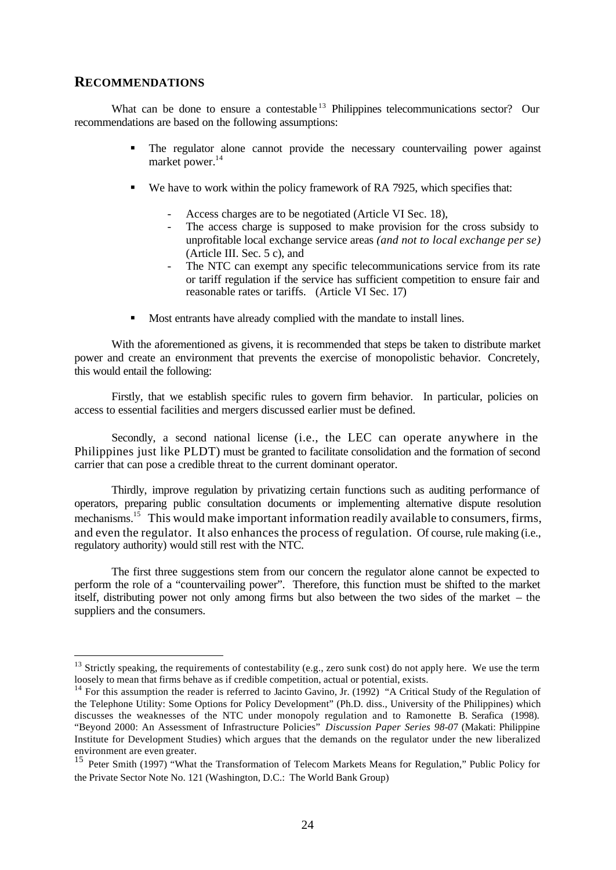## **RECOMMENDATIONS**

l

What can be done to ensure a contestable <sup>13</sup> Philippines telecommunications sector? Our recommendations are based on the following assumptions:

- The regulator alone cannot provide the necessary countervailing power against market power.<sup>14</sup>
- $\bullet$  We have to work within the policy framework of RA 7925, which specifies that:
	- Access charges are to be negotiated (Article VI Sec. 18),
	- The access charge is supposed to make provision for the cross subsidy to unprofitable local exchange service areas *(and not to local exchange per se)* (Article III. Sec. 5 c), and
	- The NTC can exempt any specific telecommunications service from its rate or tariff regulation if the service has sufficient competition to ensure fair and reasonable rates or tariffs. (Article VI Sec. 17)
- Most entrants have already complied with the mandate to install lines.

With the aforementioned as givens, it is recommended that steps be taken to distribute market power and create an environment that prevents the exercise of monopolistic behavior. Concretely, this would entail the following:

Firstly, that we establish specific rules to govern firm behavior. In particular, policies on access to essential facilities and mergers discussed earlier must be defined.

Secondly, a second national license (i.e., the LEC can operate anywhere in the Philippines just like PLDT) must be granted to facilitate consolidation and the formation of second carrier that can pose a credible threat to the current dominant operator.

Thirdly, improve regulation by privatizing certain functions such as auditing performance of operators, preparing public consultation documents or implementing alternative dispute resolution mechanisms.<sup>15</sup> This would make important information readily available to consumers, firms, and even the regulator. It also enhances the process of regulation. Of course, rule making (i.e., regulatory authority) would still rest with the NTC.

The first three suggestions stem from our concern the regulator alone cannot be expected to perform the role of a "countervailing power". Therefore, this function must be shifted to the market itself, distributing power not only among firms but also between the two sides of the market – the suppliers and the consumers.

<sup>&</sup>lt;sup>13</sup> Strictly speaking, the requirements of contestability (e.g., zero sunk cost) do not apply here. We use the term loosely to mean that firms behave as if credible competition, actual or potential, exists.

 $14$  For this assumption the reader is referred to Jacinto Gavino, Jr. (1992) "A Critical Study of the Regulation of the Telephone Utility: Some Options for Policy Development" (Ph.D. diss., University of the Philippines) which discusses the weaknesses of the NTC under monopoly regulation and to Ramonette B. Serafica (1998). "Beyond 2000: An Assessment of Infrastructure Policies" *Discussion Paper Series 98-0*7 (Makati: Philippine Institute for Development Studies) which argues that the demands on the regulator under the new liberalized environment are even greater.

<sup>&</sup>lt;sup>15</sup> Peter Smith (1997) "What the Transformation of Telecom Markets Means for Regulation," Public Policy for the Private Sector Note No. 121 (Washington, D.C.: The World Bank Group)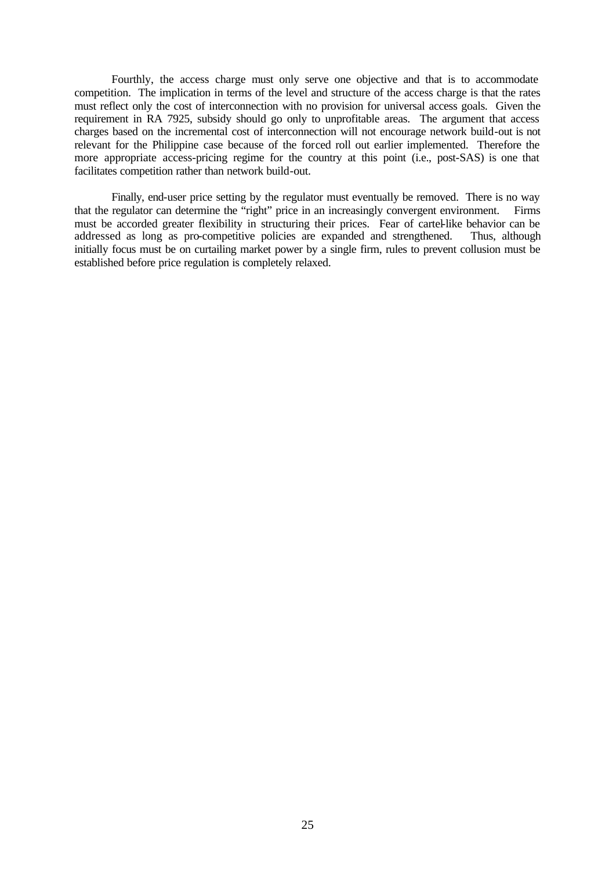Fourthly, the access charge must only serve one objective and that is to accommodate competition. The implication in terms of the level and structure of the access charge is that the rates must reflect only the cost of interconnection with no provision for universal access goals. Given the requirement in RA 7925, subsidy should go only to unprofitable areas. The argument that access charges based on the incremental cost of interconnection will not encourage network build-out is not relevant for the Philippine case because of the forced roll out earlier implemented. Therefore the more appropriate access-pricing regime for the country at this point (i.e., post-SAS) is one that facilitates competition rather than network build-out.

Finally, end-user price setting by the regulator must eventually be removed. There is no way that the regulator can determine the "right" price in an increasingly convergent environment. Firms must be accorded greater flexibility in structuring their prices. Fear of cartel-like behavior can be addressed as long as pro-competitive policies are expanded and strengthened. Thus, although initially focus must be on curtailing market power by a single firm, rules to prevent collusion must be established before price regulation is completely relaxed.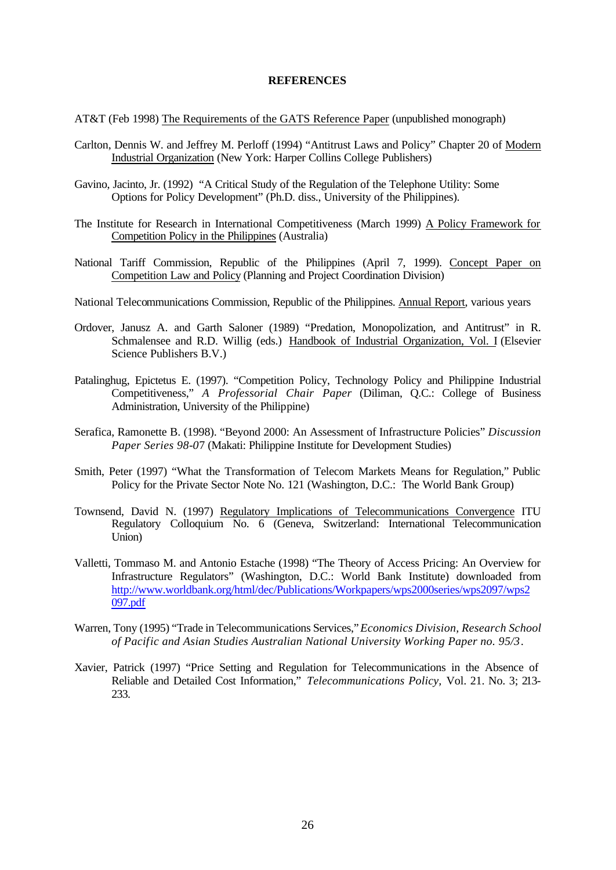#### **REFERENCES**

AT&T (Feb 1998) The Requirements of the GATS Reference Paper (unpublished monograph)

- Carlton, Dennis W. and Jeffrey M. Perloff (1994) "Antitrust Laws and Policy" Chapter 20 of Modern Industrial Organization (New York: Harper Collins College Publishers)
- Gavino, Jacinto, Jr. (1992) "A Critical Study of the Regulation of the Telephone Utility: Some Options for Policy Development" (Ph.D. diss., University of the Philippines).
- The Institute for Research in International Competitiveness (March 1999) A Policy Framework for Competition Policy in the Philippines (Australia)
- National Tariff Commission, Republic of the Philippines (April 7, 1999). Concept Paper on Competition Law and Policy (Planning and Project Coordination Division)
- National Telecommunications Commission, Republic of the Philippines. Annual Report, various years
- Ordover, Janusz A. and Garth Saloner (1989) "Predation, Monopolization, and Antitrust" in R. Schmalensee and R.D. Willig (eds.) Handbook of Industrial Organization, Vol. I (Elsevier Science Publishers B.V.)
- Patalinghug, Epictetus E. (1997). "Competition Policy, Technology Policy and Philippine Industrial Competitiveness," *A Professorial Chair Paper* (Diliman, Q.C.: College of Business Administration, University of the Philippine)
- Serafica, Ramonette B. (1998). "Beyond 2000: An Assessment of Infrastructure Policies" *Discussion Paper Series 98-0*7 (Makati: Philippine Institute for Development Studies)
- Smith, Peter (1997) "What the Transformation of Telecom Markets Means for Regulation," Public Policy for the Private Sector Note No. 121 (Washington, D.C.: The World Bank Group)
- Townsend, David N. (1997) Regulatory Implications of Telecommunications Convergence ITU Regulatory Colloquium No. 6 (Geneva, Switzerland: International Telecommunication Union)
- Valletti, Tommaso M. and Antonio Estache (1998) "The Theory of Access Pricing: An Overview for Infrastructure Regulators" (Washington, D.C.: World Bank Institute) downloaded from http://www.worldbank.org/html/dec/Publications/Workpapers/wps2000series/wps2097/wps2 097.pdf
- Warren, Tony (1995) "Trade in Telecommunications Services," *Economics Division, Research School of Pacific and Asian Studies Australian National University Working Paper no. 95/3*.
- Xavier, Patrick (1997) "Price Setting and Regulation for Telecommunications in the Absence of Reliable and Detailed Cost Information," *Telecommunications Policy,* Vol. 21. No. 3; 213- 233.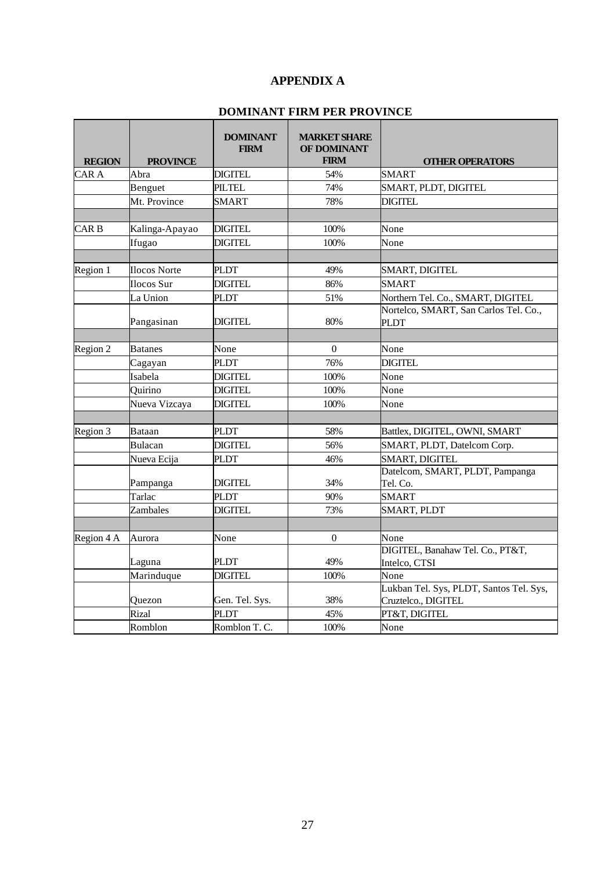## **APPENDIX A**

## **DOMINANT FIRM PER PROVINCE**

| <b>REGION</b>    | <b>PROVINCE</b>     | <b>DOMINANT</b><br><b>FIRM</b> | <b>MARKET SHARE</b><br>OF DOMINANT<br><b>FIRM</b> | <b>OTHER OPERATORS</b>                                         |
|------------------|---------------------|--------------------------------|---------------------------------------------------|----------------------------------------------------------------|
| CAR A            | Abra                | <b>DIGITEL</b>                 | 54%                                               | <b>SMART</b>                                                   |
|                  | Benguet             | <b>PILTEL</b>                  | 74%                                               | SMART, PLDT, DIGITEL                                           |
|                  | Mt. Province        | <b>SMART</b>                   | 78%                                               | <b>DIGITEL</b>                                                 |
|                  |                     |                                |                                                   |                                                                |
| CAR <sub>B</sub> | Kalinga-Apayao      | <b>DIGITEL</b>                 | 100%                                              | None                                                           |
|                  | Ifugao              | DIGITEL                        | 100%                                              | None                                                           |
|                  |                     |                                |                                                   |                                                                |
| Region 1         | <b>Ilocos Norte</b> | PLDT                           | 49%                                               | SMART, DIGITEL                                                 |
|                  | Ilocos Sur          | DIGITEL                        | 86%                                               | <b>SMART</b>                                                   |
|                  | La Union            | <b>PLDT</b>                    | 51%                                               | Northern Tel. Co., SMART, DIGITEL                              |
|                  | Pangasinan          | <b>DIGITEL</b>                 | 80%                                               | Nortelco, SMART, San Carlos Tel. Co.,<br><b>PLDT</b>           |
|                  |                     |                                |                                                   |                                                                |
| Region 2         | <b>Batanes</b>      | None                           | $\Omega$                                          | None                                                           |
|                  | Cagayan             | <b>PLDT</b>                    | 76%                                               | <b>DIGITEL</b>                                                 |
|                  | Isabela             | <b>DIGITEL</b>                 | 100%                                              | None                                                           |
|                  | Quirino             | <b>DIGITEL</b>                 | 100%                                              | None                                                           |
|                  | Nueva Vizcaya       | <b>DIGITEL</b>                 | 100%                                              | None                                                           |
|                  |                     |                                |                                                   |                                                                |
| Region 3         | Bataan              | <b>PLDT</b>                    | 58%                                               | Battlex, DIGITEL, OWNI, SMART                                  |
|                  | <b>Bulacan</b>      | <b>DIGITEL</b>                 | 56%                                               | SMART, PLDT, Datelcom Corp.                                    |
|                  | Nueva Ecija         | <b>PLDT</b>                    | 46%                                               | SMART, DIGITEL                                                 |
|                  | Pampanga            | <b>DIGITEL</b>                 | 34%                                               | Datelcom, SMART, PLDT, Pampanga<br>Tel. Co.                    |
|                  | Tarlac              | <b>PLDT</b>                    | 90%                                               | <b>SMART</b>                                                   |
|                  | Zambales            | <b>DIGITEL</b>                 | 73%                                               | <b>SMART, PLDT</b>                                             |
|                  |                     |                                |                                                   |                                                                |
| Region 4 A       | Aurora              | None                           | $\boldsymbol{0}$                                  | None                                                           |
|                  |                     |                                |                                                   | DIGITEL, Banahaw Tel. Co., PT&T,                               |
|                  | Laguna              | <b>PLDT</b>                    | 49%                                               | Intelco, CTSI                                                  |
|                  | Marinduque          | <b>DIGITEL</b>                 | 100%                                              | None                                                           |
|                  | Quezon              | Gen. Tel. Sys.                 | 38%                                               | Lukban Tel. Sys, PLDT, Santos Tel. Sys,<br>Cruztelco., DIGITEL |
|                  | <b>Rizal</b>        | <b>PLDT</b>                    | 45%                                               | PT&T, DIGITEL                                                  |
|                  | Romblon             | Romblon T.C.                   | 100%                                              | None                                                           |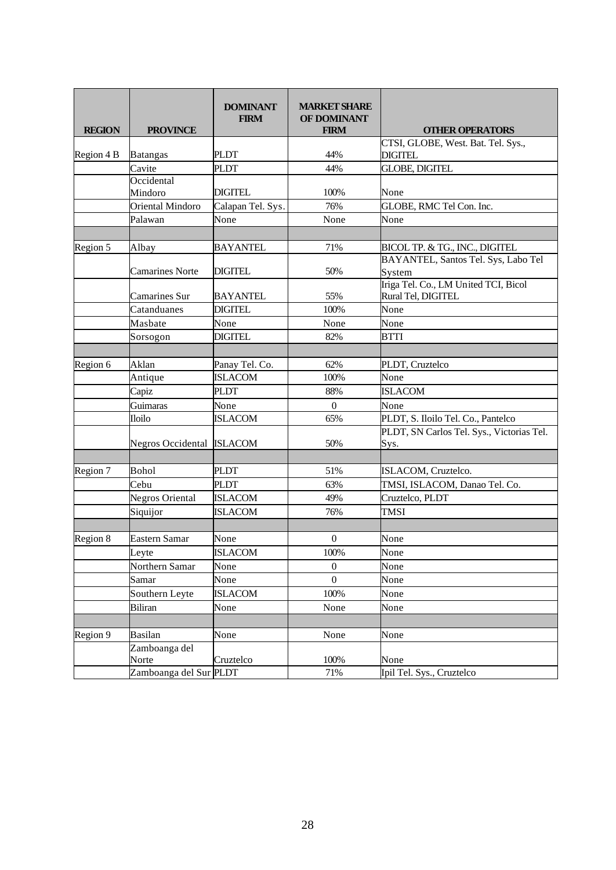| <b>REGION</b> | <b>PROVINCE</b>           | <b>DOMINANT</b><br><b>FIRM</b> | <b>MARKET SHARE</b><br><b>OF DOMINANT</b><br><b>FIRM</b> | <b>OTHER OPERATORS</b>                                     |
|---------------|---------------------------|--------------------------------|----------------------------------------------------------|------------------------------------------------------------|
|               |                           |                                |                                                          | CTSI, GLOBE, West. Bat. Tel. Sys.,                         |
| Region 4 B    | Batangas                  | <b>PLDT</b>                    | 44%                                                      | <b>DIGITEL</b>                                             |
|               | Cavite                    | <b>PLDT</b>                    | 44%                                                      | <b>GLOBE, DIGITEL</b>                                      |
|               | Occidental<br>Mindoro     | DIGITEL                        | 100%                                                     | None                                                       |
|               | Oriental Mindoro          | Calapan Tel. Sys.              | 76%                                                      | GLOBE, RMC Tel Con. Inc.                                   |
|               | Palawan                   | None                           | None                                                     | None                                                       |
|               |                           |                                |                                                          |                                                            |
| Region 5      | Albay                     | <b>BAYANTEL</b>                | 71%                                                      | BICOL TP. & TG., INC., DIGITEL                             |
|               | <b>Camarines Norte</b>    | <b>DIGITEL</b>                 | 50%                                                      | BAYANTEL, Santos Tel. Sys, Labo Tel<br>System              |
|               | Camarines Sur             | <b>BAYANTEL</b>                | 55%                                                      | Iriga Tel. Co., LM United TCI, Bicol<br>Rural Tel, DIGITEL |
|               | Catanduanes               | <b>DIGITEL</b>                 | 100%                                                     | None                                                       |
|               | Masbate                   | None                           | None                                                     | None                                                       |
|               | Sorsogon                  | <b>DIGITEL</b>                 | 82%                                                      | <b>BTTI</b>                                                |
|               |                           |                                |                                                          |                                                            |
| Region 6      | Aklan                     | Panay Tel. Co.                 | 62%                                                      | PLDT, Cruztelco                                            |
|               | Antique                   | <b>ISLACOM</b>                 | 100%                                                     | None                                                       |
|               | Capiz                     | <b>PLDT</b>                    | 88%                                                      | <b>ISLACOM</b>                                             |
|               | Guimaras                  | None                           | $\boldsymbol{0}$                                         | None                                                       |
|               | <b>Iloilo</b>             | <b>ISLACOM</b>                 | 65%                                                      | PLDT, S. Iloilo Tel. Co., Pantelco                         |
|               | Negros Occidental ISLACOM |                                | 50%                                                      | PLDT, SN Carlos Tel. Sys., Victorias Tel.<br>Sys.          |
|               |                           |                                |                                                          |                                                            |
| Region 7      | <b>Bohol</b>              | <b>PLDT</b>                    | 51%                                                      | ISLACOM, Cruztelco.                                        |
|               | Cebu                      | <b>PLDT</b>                    | 63%                                                      | TMSI, ISLACOM, Danao Tel. Co.                              |
|               | <b>Negros Oriental</b>    | <b>ISLACOM</b>                 | 49%                                                      | Cruztelco, PLDT                                            |
|               | Siquijor                  | ISLACOM                        | 76%                                                      | <b>TMSI</b>                                                |
| Region 8      | <b>Eastern Samar</b>      | None                           | $\mathbf{0}$                                             | None                                                       |
|               | Leyte                     | ISLACOM                        | 100%                                                     | None                                                       |
|               | Northern Samar            | None                           | $\overline{0}$                                           | None                                                       |
|               | Samar                     | None                           | $\overline{0}$                                           | None                                                       |
|               | Southern Leyte            | <b>ISLACOM</b>                 | 100%                                                     | None                                                       |
|               | Biliran                   | None                           | None                                                     | None                                                       |
|               |                           |                                |                                                          |                                                            |
| Region 9      | <b>Basilan</b>            | None                           | None                                                     | None                                                       |
|               | Zamboanga del             |                                |                                                          |                                                            |
|               | Norte                     | Cruztelco                      | 100%                                                     | None                                                       |
|               | Zamboanga del Sur PLDT    |                                | 71%                                                      | Ipil Tel. Sys., Cruztelco                                  |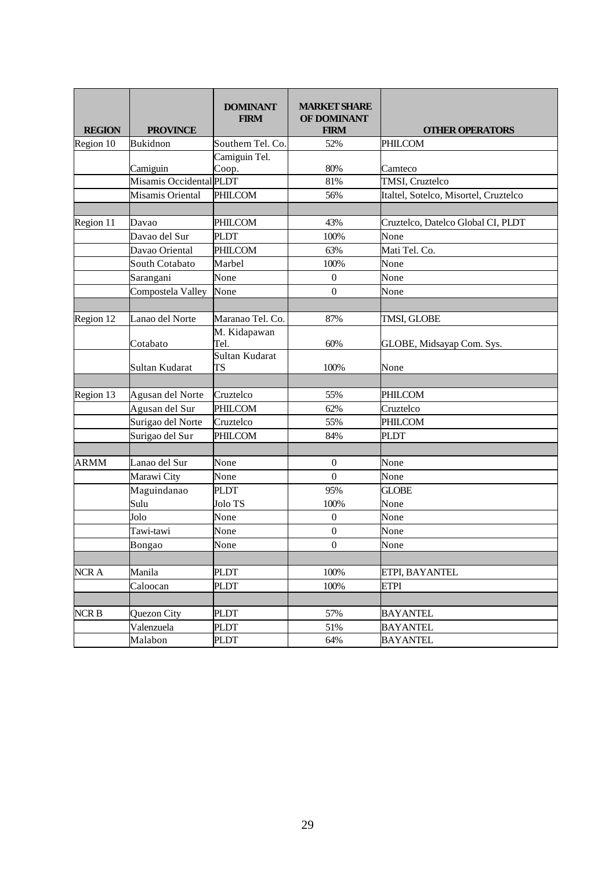| <b>REGION</b> | <b>PROVINCE</b>                     | <b>DOMINANT</b><br><b>FIRM</b> | <b>MARKET SHARE</b><br>OF DOMINANT<br><b>FIRM</b> | <b>OTHER OPERATORS</b>                |
|---------------|-------------------------------------|--------------------------------|---------------------------------------------------|---------------------------------------|
| Region 10     | <b>Bukidnon</b>                     | Southern Tel. Co.              | 52%                                               | PHILCOM                               |
|               | Camiguin<br>Misamis Occidental PLDT | Camiguin Tel.<br>Coop.         | 80%<br>81%                                        | Camteco<br>TMSI, Cruztelco            |
|               |                                     |                                |                                                   |                                       |
|               | Misamis Oriental                    | PHILCOM                        | 56%                                               | Italtel, Sotelco, Misortel, Cruztelco |
| Region 11     | Davao                               | PHILCOM                        | 43%                                               | Cruztelco, Datelco Global CI, PLDT    |
|               | Davao del Sur                       | <b>PLDT</b>                    | 100%                                              | None                                  |
|               | Davao Oriental                      | PHILCOM                        | 63%                                               | Mati Tel. Co.                         |
|               | South Cotabato                      | Marbel                         | 100%                                              | None                                  |
|               | Sarangani                           | None                           | $\mathbf{0}$                                      | None                                  |
|               | Compostela Valley                   | None                           | $\boldsymbol{0}$                                  | None                                  |
|               |                                     |                                |                                                   |                                       |
| Region 12     | Lanao del Norte                     | Maranao Tel. Co.               | 87%                                               | TMSI, GLOBE                           |
|               | Cotabato                            | M. Kidapawan<br>Tel.           | 60%                                               | GLOBE, Midsayap Com. Sys.             |
|               | Sultan Kudarat                      | Sultan Kudarat<br>TS           | 100%                                              | None                                  |
|               |                                     |                                |                                                   |                                       |
| Region 13     | Agusan del Norte                    | Cruztelco                      | 55%                                               | PHILCOM                               |
|               | Agusan del Sur                      | PHILCOM                        | 62%                                               | Cruztelco                             |
|               | Surigao del Norte                   | Cruztelco                      | 55%                                               | PHILCOM                               |
|               | Surigao del Sur                     | PHILCOM                        | 84%                                               | <b>PLDT</b>                           |
| ARMM          | Lanao del Sur                       | None                           | $\boldsymbol{0}$                                  | None                                  |
|               | Marawi City                         | None                           | $\overline{0}$                                    | None                                  |
|               | Maguindanao                         | <b>PLDT</b>                    | 95%                                               | <b>GLOBE</b>                          |
|               | Sulu                                | Jolo TS                        | 100%                                              | None                                  |
|               | Jolo                                | None                           | $\boldsymbol{0}$                                  | None                                  |
|               | Tawi-tawi                           | None                           | $\boldsymbol{0}$                                  | None                                  |
|               | Bongao                              | None                           | $\boldsymbol{0}$                                  | None                                  |
|               |                                     |                                |                                                   |                                       |
| NCR A         | Manila                              | <b>PLDT</b>                    | 100%                                              | ETPI, BAYANTEL                        |
|               | Caloocan                            | PLDT                           | 100%                                              | <b>ETPI</b>                           |
|               |                                     |                                |                                                   |                                       |
| NCR B         | Quezon City                         | <b>PLDT</b>                    | 57%                                               | <b>BAYANTEL</b>                       |
|               | Valenzuela                          | <b>PLDT</b>                    | 51%                                               | <b>BAYANTEL</b>                       |
|               | Malabon                             | PLDT                           | 64%                                               | <b>BAYANTEL</b>                       |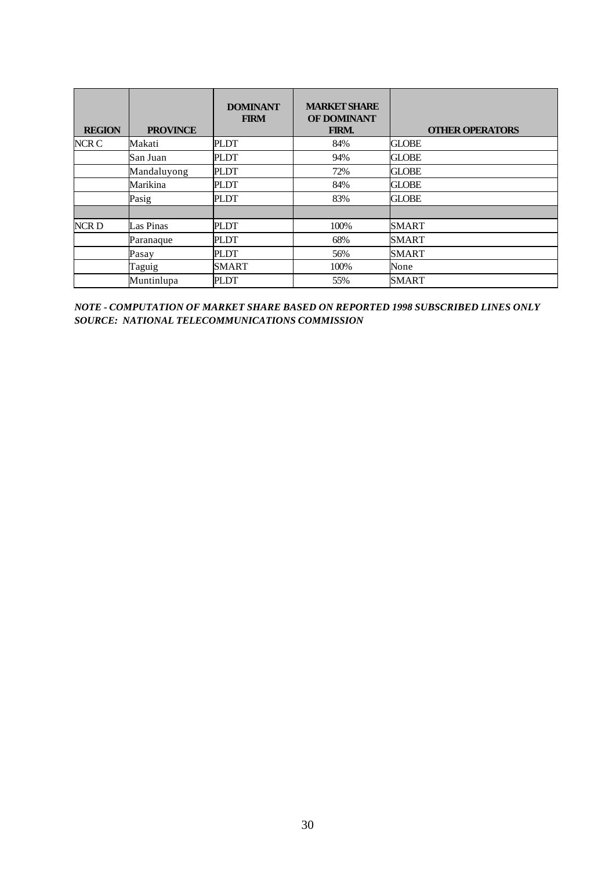| <b>REGION</b>    | <b>PROVINCE</b> | <b>DOMINANT</b><br><b>FIRM</b> | <b>MARKET SHARE</b><br>OF DOMINANT<br>FIRM. | <b>OTHER OPERATORS</b> |
|------------------|-----------------|--------------------------------|---------------------------------------------|------------------------|
| NCR C            | Makati          | <b>PLDT</b>                    | 84%                                         | <b>GLOBE</b>           |
|                  | San Juan        | PLDT                           | 94%                                         | <b>GLOBE</b>           |
|                  | Mandaluyong     | PLDT                           | 72%                                         | <b>GLOBE</b>           |
|                  | Marikina        | <b>PLDT</b>                    | 84%                                         | <b>GLOBE</b>           |
|                  | Pasig           | <b>PLDT</b>                    | 83%                                         | <b>GLOBE</b>           |
| NCR <sub>D</sub> | Las Pinas       | <b>PLDT</b>                    | 100%                                        | <b>SMART</b>           |
|                  | Paranaque       | PLDT                           | 68%                                         | <b>SMART</b>           |
|                  | Pasay           | <b>PLDT</b>                    | 56%                                         | <b>SMART</b>           |
|                  | Taguig          | <b>SMART</b>                   | 100%                                        | None                   |
|                  | Muntinlupa      | PLDT                           | 55%                                         | <b>SMART</b>           |

*NOTE - COMPUTATION OF MARKET SHARE BASED ON REPORTED 1998 SUBSCRIBED LINES ONLY SOURCE: NATIONAL TELECOMMUNICATIONS COMMISSION*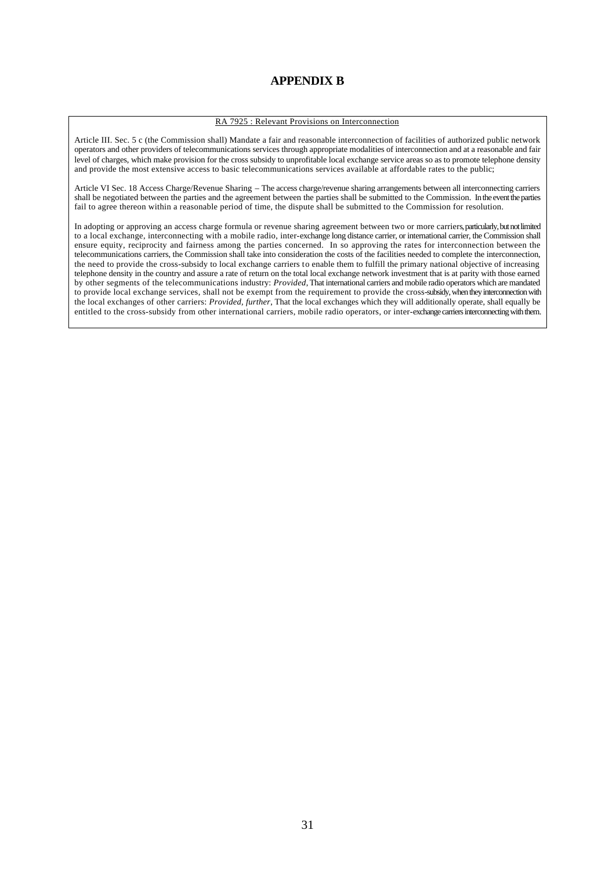## **APPENDIX B**

#### RA 7925 : Relevant Provisions on Interconnection

Article III. Sec. 5 c (the Commission shall) Mandate a fair and reasonable interconnection of facilities of authorized public network operators and other providers of telecommunications services through appropriate modalities of interconnection and at a reasonable and fair level of charges, which make provision for the cross subsidy to unprofitable local exchange service areas so as to promote telephone density and provide the most extensive access to basic telecommunications services available at affordable rates to the public;

Article VI Sec. 18 Access Charge/Revenue Sharing – The access charge/revenue sharing arrangements between all interconnecting carriers shall be negotiated between the parties and the agreement between the parties shall be submitted to the Commission. In the event the parties fail to agree thereon within a reasonable period of time, the dispute shall be submitted to the Commission for resolution.

In adopting or approving an access charge formula or revenue sharing agreement between two or more carriers, particularly, but not limited to a local exchange, interconnecting with a mobile radio, inter-exchange long distance carrier, or international carrier, the Commission shall ensure equity, reciprocity and fairness among the parties concerned. In so approving the rates for interconnection between the telecommunications carriers, the Commission shall take into consideration the costs of the facilities needed to complete the interconnection, the need to provide the cross-subsidy to local exchange carriers to enable them to fulfill the primary national objective of increasing telephone density in the country and assure a rate of return on the total local exchange network investment that is at parity with those earned by other segments of the telecommunications industry: *Provided*, That international carriers and mobile radio operators which are mandated to provide local exchange services, shall not be exempt from the requirement to provide the cross-subsidy, when they interconnection with the local exchanges of other carriers: *Provided, further*, That the local exchanges which they will additionally operate, shall equally be entitled to the cross-subsidy from other international carriers, mobile radio operators, or inter-exchange carriers interconnecting with them.